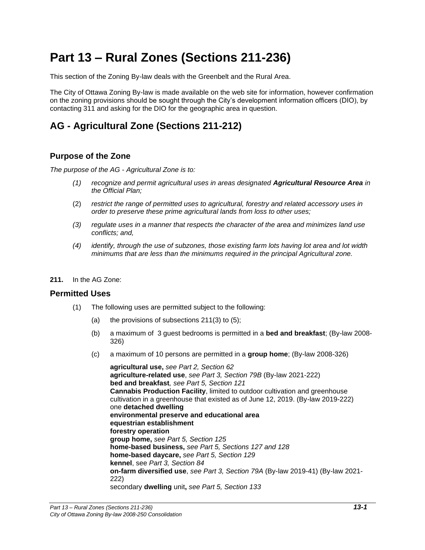# **Part 13 – Rural Zones (Sections 211-236)**

This section of the Zoning By-law deals with the Greenbelt and the Rural Area.

The City of Ottawa Zoning By-law is made available on the web site for information, however confirmation on the zoning provisions should be sought through the City's development information officers (DIO), by contacting 311 and asking for the DIO for the geographic area in question.

# **AG - Agricultural Zone (Sections 211-212)**

## **Purpose of the Zone**

*The purpose of the AG - Agricultural Zone is to:*

- *(1) recognize and permit agricultural uses in areas designated Agricultural Resource Area in the Official Plan;*
- (2) *restrict the range of permitted uses to agricultural, forestry and related accessory uses in order to preserve these prime agricultural lands from loss to other uses;*
- *(3) regulate uses in a manner that respects the character of the area and minimizes land use conflicts; and,*
- *(4) identify, through the use of subzones, those existing farm lots having lot area and lot width minimums that are less than the minimums required in the principal Agricultural zone.*
- **211.** In the AG Zone:

#### **Permitted Uses**

- (1) The following uses are permitted subject to the following:
	- (a) the provisions of subsections  $211(3)$  to  $(5)$ ;
	- (b) a maximum of 3 guest bedrooms is permitted in a **bed and breakfast**; (By-law 2008- 326)
	- (c) a maximum of 10 persons are permitted in a **group home**; (By-law 2008-326)

**agricultural use,** *see Part 2, Section 62* **agriculture-related use**, *see Part 3, Section 79B* (By-law 2021-222) **bed and breakfast***, see Part 5, Section 121* **Cannabis Production Facility**, limited to outdoor cultivation and greenhouse cultivation in a greenhouse that existed as of June 12, 2019. (By-law 2019-222) one **detached dwelling environmental preserve and educational area equestrian establishment forestry operation group home,** *see Part 5, Section 125* **home-based business,** *see Part 5, Sections 127 and 128* **home-based daycare,** *see Part 5, Section 129* **kennel**, see *Part 3, Section 84* **on-farm diversified use**, *see Part 3, Section 79A* (By-law 2019-41) (By-law 2021- 222) secondary **dwelling** unit**,** *see Part 5, Section 133*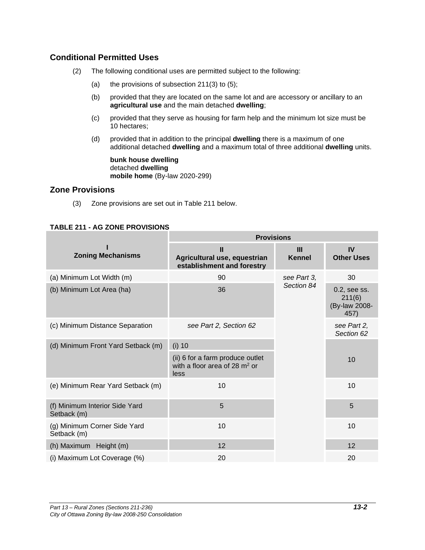## **Conditional Permitted Uses**

- (2) The following conditional uses are permitted subject to the following:
	- (a) the provisions of subsection  $211(3)$  to  $(5)$ ;
	- (b) provided that they are located on the same lot and are accessory or ancillary to an **agricultural use** and the main detached **dwelling**;
	- (c) provided that they serve as housing for farm help and the minimum lot size must be 10 hectares;
	- (d) provided that in addition to the principal **dwelling** there is a maximum of one additional detached **dwelling** and a maximum total of three additional **dwelling** units.

**bunk house dwelling** detached **dwelling mobile home** (By-law 2020-299)

## **Zone Provisions**

(3) Zone provisions are set out in Table 211 below.

## **TABLE 211 - AG ZONE PROVISIONS**

|                                               | <b>Provisions</b>                                                           |                    |                                                 |
|-----------------------------------------------|-----------------------------------------------------------------------------|--------------------|-------------------------------------------------|
| <b>Zoning Mechanisms</b>                      | Ш<br>Agricultural use, equestrian<br>establishment and forestry             | Ш<br><b>Kennel</b> | <b>IV</b><br><b>Other Uses</b>                  |
| (a) Minimum Lot Width (m)                     | 90                                                                          | see Part 3,        | 30                                              |
| (b) Minimum Lot Area (ha)                     | 36                                                                          | Section 84         | 0.2, see ss.<br>211(6)<br>(By-law 2008-<br>457) |
| (c) Minimum Distance Separation               | see Part 2, Section 62                                                      |                    | see Part 2,<br>Section 62                       |
| (d) Minimum Front Yard Setback (m)            | $(i)$ 10                                                                    |                    |                                                 |
|                                               | (ii) 6 for a farm produce outlet<br>with a floor area of 28 $m2$ or<br>less |                    | 10                                              |
| (e) Minimum Rear Yard Setback (m)             | 10                                                                          |                    | 10                                              |
| (f) Minimum Interior Side Yard<br>Setback (m) | 5                                                                           |                    | 5                                               |
| (g) Minimum Corner Side Yard<br>Setback (m)   | 10                                                                          |                    | 10                                              |
| (h) Maximum Height (m)                        | 12                                                                          |                    | 12                                              |
| (i) Maximum Lot Coverage (%)                  | 20                                                                          |                    | 20                                              |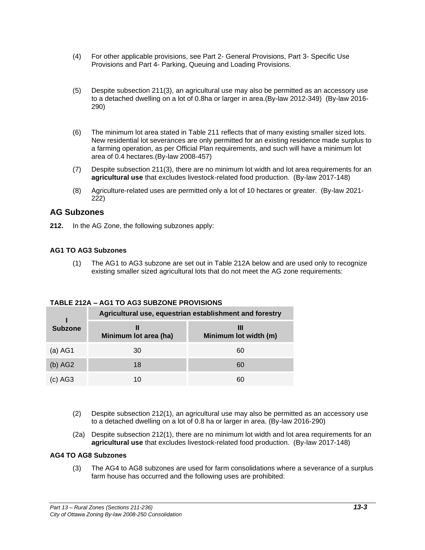- (4) For other applicable provisions, see Part 2- General Provisions, Part 3- Specific Use Provisions and Part 4- Parking, Queuing and Loading Provisions.
- (5) Despite subsection 211(3), an agricultural use may also be permitted as an accessory use to a detached dwelling on a lot of 0.8ha or larger in area.(By-law 2012-349) (By-law 2016- 290)
- (6) The minimum lot area stated in Table 211 reflects that of many existing smaller sized lots. New residential lot severances are only permitted for an existing residence made surplus to a farming operation, as per Official Plan requirements, and such will have a minimum lot area of 0.4 hectares.(By-law 2008-457)
- (7) Despite subsection 211(3), there are no minimum lot width and lot area requirements for an **agricultural use** that excludes livestock-related food production. (By-law 2017-148)
- (8) Agriculture-related uses are permitted only a lot of 10 hectares or greater. (By-law 2021- 222)

## **AG Subzones**

**212.** In the AG Zone, the following subzones apply:

#### **AG1 TO AG3 Subzones**

(1) The AG1 to AG3 subzone are set out in Table 212A below and are used only to recognize existing smaller sized agricultural lots that do not meet the AG zone requirements:

| TABLE 212A – AGT TO AG3 SUBZONE PROVISIONS |                                                         |                       |
|--------------------------------------------|---------------------------------------------------------|-----------------------|
|                                            | Agricultural use, equestrian establishment and forestry |                       |
| <b>Subzone</b>                             | Minimum lot area (ha)                                   | Minimum lot width (m) |
| $(a)$ AG1                                  | 30                                                      | 60                    |
| (b) AG2                                    | 18                                                      | 60                    |

(c) AG3 10 60

## **TABLE 212A – AG1 TO AG3 SUBZONE PROVISIONS**

- (2) Despite subsection 212(1), an agricultural use may also be permitted as an accessory use to a detached dwelling on a lot of 0.8 ha or larger in area. (By-law 2016-290)
- (2a) Despite subsection 212(1), there are no minimum lot width and lot area requirements for an **agricultural use** that excludes livestock-related food production. (By-law 2017-148)

#### **AG4 TO AG8 Subzones**

(3) The AG4 to AG8 subzones are used for farm consolidations where a severance of a surplus farm house has occurred and the following uses are prohibited: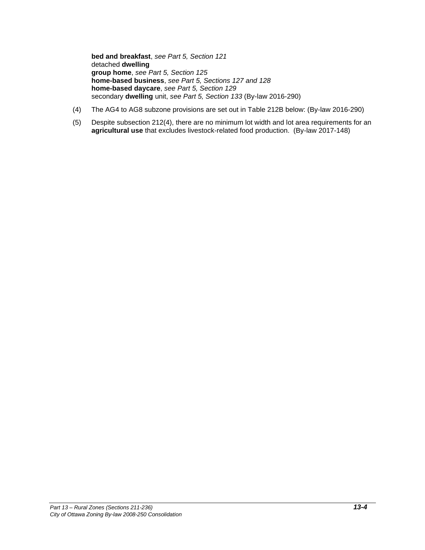**bed and breakfast**, *see Part 5, Section 121* detached **dwelling group home**, *see Part 5, Section 125* **home-based business**, *see Part 5, Sections 127 and 128* **home-based daycare**, *see Part 5, Section 129* secondary **dwelling** unit, *see Part 5, Section 133* (By-law 2016-290)

- (4) The AG4 to AG8 subzone provisions are set out in Table 212B below: (By-law 2016-290)
- (5) Despite subsection 212(4), there are no minimum lot width and lot area requirements for an **agricultural use** that excludes livestock-related food production. (By-law 2017-148)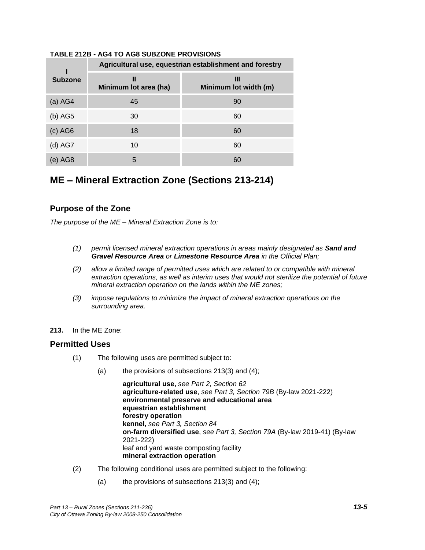|                | Agricultural use, equestrian establishment and forestry |                            |  |
|----------------|---------------------------------------------------------|----------------------------|--|
| <b>Subzone</b> | Ш<br>Minimum lot area (ha)                              | Ш<br>Minimum lot width (m) |  |
| $(a)$ AG4      | 45                                                      | 90                         |  |
| $(b)$ AG5      | 30                                                      | 60                         |  |
| $(c)$ AG6      | 18                                                      | 60                         |  |
| $(d)$ AG7      | 10                                                      | 60                         |  |
| (e) AG8        | 5                                                       | 60                         |  |

#### **TABLE 212B - AG4 TO AG8 SUBZONE PROVISIONS**

# **ME – Mineral Extraction Zone (Sections 213-214)**

## **Purpose of the Zone**

*The purpose of the ME – Mineral Extraction Zone is to:*

- *(1) permit licensed mineral extraction operations in areas mainly designated as Sand and Gravel Resource Area or Limestone Resource Area in the Official Plan;*
- *(2) allow a limited range of permitted uses which are related to or compatible with mineral extraction operations, as well as interim uses that would not sterilize the potential of future mineral extraction operation on the lands within the ME zones;*
- *(3) impose regulations to minimize the impact of mineral extraction operations on the surrounding area.*
- **213.** In the ME Zone:

#### **Permitted Uses**

- (1) The following uses are permitted subject to:
	- (a) the provisions of subsections 213(3) and (4);

**agricultural use,** *see Part 2, Section 62* **agriculture-related use**, *see Part 3, Section 79B* (By-law 2021-222) **environmental preserve and educational area equestrian establishment forestry operation kennel,** *see Part 3, Section 84* **on-farm diversified use**, *see Part 3, Section 79A* (By-law 2019-41) (By-law 2021-222) leaf and yard waste composting facility **mineral extraction operation**

- (2) The following conditional uses are permitted subject to the following:
	- (a) the provisions of subsections  $213(3)$  and  $(4)$ ;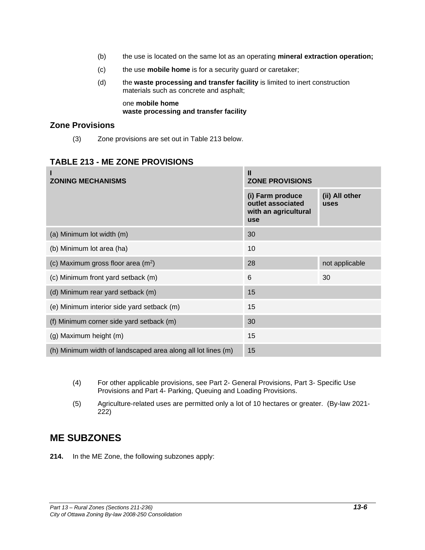- (b) the use is located on the same lot as an operating **mineral extraction operation;**
- (c) the use **mobile home** is for a security guard or caretaker;
- (d) the **waste processing and transfer facility** is limited to inert construction materials such as concrete and asphalt;

one **mobile home waste processing and transfer facility**

## **Zone Provisions**

(3) Zone provisions are set out in Table 213 below.

## **TABLE 213 - ME ZONE PROVISIONS**

| <b>ZONING MECHANISMS</b>                                     | Ш<br><b>ZONE PROVISIONS</b>                                                 |                        |
|--------------------------------------------------------------|-----------------------------------------------------------------------------|------------------------|
|                                                              | (i) Farm produce<br>outlet associated<br>with an agricultural<br><b>use</b> | (ii) All other<br>uses |
| (a) Minimum lot width (m)                                    | 30                                                                          |                        |
| (b) Minimum lot area (ha)                                    | 10                                                                          |                        |
| (c) Maximum gross floor area (m <sup>2</sup> )               | 28                                                                          | not applicable         |
| (c) Minimum front yard setback (m)                           | 6                                                                           | 30                     |
| (d) Minimum rear yard setback (m)                            | 15                                                                          |                        |
| (e) Minimum interior side yard setback (m)                   | 15                                                                          |                        |
| (f) Minimum corner side yard setback (m)                     | 30                                                                          |                        |
| (g) Maximum height (m)                                       | 15                                                                          |                        |
| (h) Minimum width of landscaped area along all lot lines (m) | 15                                                                          |                        |

- (4) For other applicable provisions, see Part 2- General Provisions, Part 3- Specific Use Provisions and Part 4- Parking, Queuing and Loading Provisions.
- (5) Agriculture-related uses are permitted only a lot of 10 hectares or greater. (By-law 2021- 222)

# **ME SUBZONES**

**214.** In the ME Zone, the following subzones apply: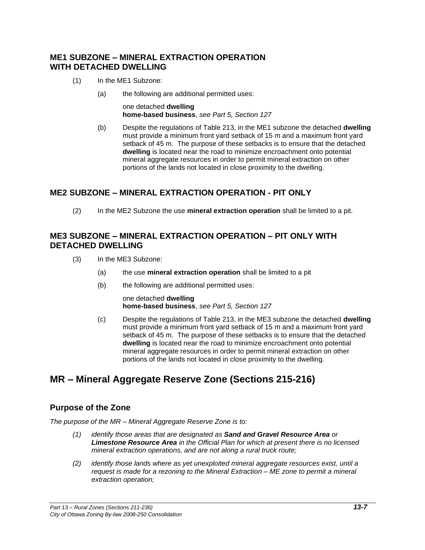## **ME1 SUBZONE – MINERAL EXTRACTION OPERATION WITH DETACHED DWELLING**

- (1) In the ME1 Subzone:
	- (a) the following are additional permitted uses:

one detached **dwelling home-based business**, *see Part 5, Section 127*

(b) Despite the regulations of Table 213, in the ME1 subzone the detached **dwelling** must provide a minimum front yard setback of 15 m and a maximum front yard setback of 45 m. The purpose of these setbacks is to ensure that the detached **dwelling** is located near the road to minimize encroachment onto potential mineral aggregate resources in order to permit mineral extraction on other portions of the lands not located in close proximity to the dwelling.

## **ME2 SUBZONE – MINERAL EXTRACTION OPERATION - PIT ONLY**

(2) In the ME2 Subzone the use **mineral extraction operation** shall be limited to a pit.

## **ME3 SUBZONE – MINERAL EXTRACTION OPERATION – PIT ONLY WITH DETACHED DWELLING**

- (3) In the ME3 Subzone:
	- (a) the use **mineral extraction operation** shall be limited to a pit
	- (b) the following are additional permitted uses:

one detached **dwelling home-based business**, *see Part 5, Section 127*

(c) Despite the regulations of Table 213, in the ME3 subzone the detached **dwelling** must provide a minimum front yard setback of 15 m and a maximum front yard setback of 45 m. The purpose of these setbacks is to ensure that the detached **dwelling** is located near the road to minimize encroachment onto potential mineral aggregate resources in order to permit mineral extraction on other portions of the lands not located in close proximity to the dwelling.

# **MR – Mineral Aggregate Reserve Zone (Sections 215-216)**

## **Purpose of the Zone**

*The purpose of the MR – Mineral Aggregate Reserve Zone is to:*

- *(1) identify those areas that are designated as Sand and Gravel Resource Area or Limestone Resource Area in the Official Plan for which at present there is no licensed mineral extraction operations, and are not along a rural truck route;*
- *(2) identify those lands where as yet unexploited mineral aggregate resources exist, until a request is made for a rezoning to the Mineral Extraction – ME zone to permit a mineral extraction operation;*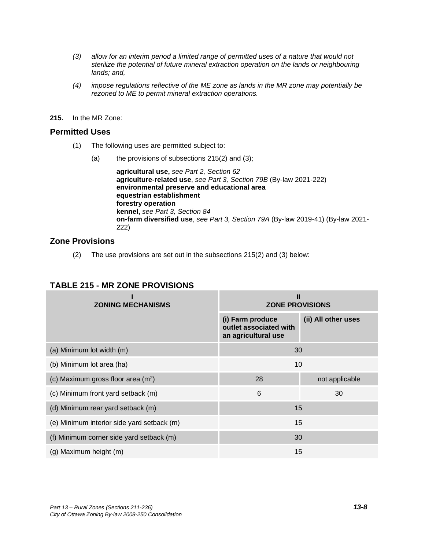- *(3) allow for an interim period a limited range of permitted uses of a nature that would not sterilize the potential of future mineral extraction operation on the lands or neighbouring lands; and,*
- *(4) impose regulations reflective of the ME zone as lands in the MR zone may potentially be rezoned to ME to permit mineral extraction operations.*
- **215.** In the MR Zone:

#### **Permitted Uses**

- (1) The following uses are permitted subject to:
	- (a) the provisions of subsections 215(2) and (3);

**agricultural use,** *see Part 2, Section 62*  **agriculture-related use**, *see Part 3, Section 79B* (By-law 2021-222) **environmental preserve and educational area equestrian establishment forestry operation kennel,** *see Part 3, Section 84* **on-farm diversified use**, *see Part 3, Section 79A* (By-law 2019-41) (By-law 2021- 222)

## **Zone Provisions**

(2) The use provisions are set out in the subsections 215(2) and (3) below:

| <b>ZONING MECHANISMS</b>                   | Ш<br><b>ZONE PROVISIONS</b>                                       |                     |  |
|--------------------------------------------|-------------------------------------------------------------------|---------------------|--|
|                                            | (i) Farm produce<br>outlet associated with<br>an agricultural use | (ii) All other uses |  |
| (a) Minimum lot width (m)                  | 30                                                                |                     |  |
| (b) Minimum lot area (ha)                  | 10                                                                |                     |  |
| (c) Maximum gross floor area $(m2)$        | 28                                                                | not applicable      |  |
| (c) Minimum front yard setback (m)         | 6                                                                 | 30                  |  |
| (d) Minimum rear yard setback (m)          | 15                                                                |                     |  |
| (e) Minimum interior side yard setback (m) | 15                                                                |                     |  |
| (f) Minimum corner side yard setback (m)   | 30                                                                |                     |  |
| (g) Maximum height (m)                     | 15                                                                |                     |  |

## **TABLE 215 - MR ZONE PROVISIONS**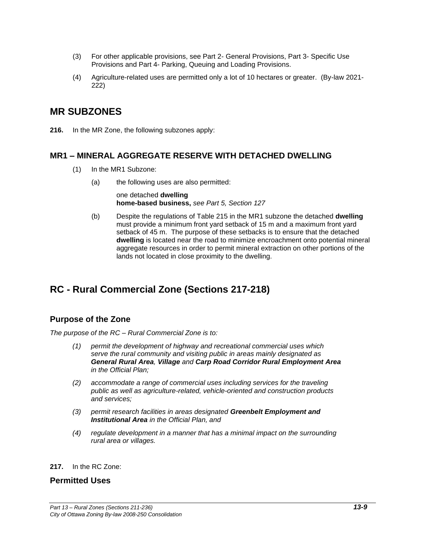- (3) For other applicable provisions, see Part 2- General Provisions, Part 3- Specific Use Provisions and Part 4- Parking, Queuing and Loading Provisions.
- (4) Agriculture-related uses are permitted only a lot of 10 hectares or greater. (By-law 2021- 222)

## **MR SUBZONES**

**216.** In the MR Zone, the following subzones apply:

#### **MR1 – MINERAL AGGREGATE RESERVE WITH DETACHED DWELLING**

- (1) In the MR1 Subzone:
	- (a) the following uses are also permitted:

one detached **dwelling home-based business,** *see Part 5, Section 127*

(b) Despite the regulations of Table 215 in the MR1 subzone the detached **dwelling** must provide a minimum front yard setback of 15 m and a maximum front yard setback of 45 m. The purpose of these setbacks is to ensure that the detached **dwelling** is located near the road to minimize encroachment onto potential mineral aggregate resources in order to permit mineral extraction on other portions of the lands not located in close proximity to the dwelling.

# **RC - Rural Commercial Zone (Sections 217-218)**

## **Purpose of the Zone**

*The purpose of the RC – Rural Commercial Zone is to:*

- *(1) permit the development of highway and recreational commercial uses which serve the rural community and visiting public in areas mainly designated as General Rural Area, Village and Carp Road Corridor Rural Employment Area in the Official Plan;*
- *(2) accommodate a range of commercial uses including services for the traveling public as well as agriculture-related, vehicle-oriented and construction products and services;*
- *(3) permit research facilities in areas designated Greenbelt Employment and Institutional Area in the Official Plan, and*
- *(4) regulate development in a manner that has a minimal impact on the surrounding rural area or villages.*

#### **217.** In the RC Zone:

#### **Permitted Uses**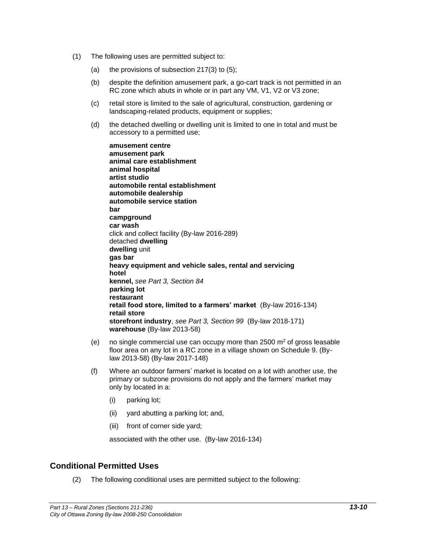- (1) The following uses are permitted subject to:
	- (a) the provisions of subsection  $217(3)$  to  $(5)$ ;
	- (b) despite the definition amusement park, a go-cart track is not permitted in an RC zone which abuts in whole or in part any VM, V1, V2 or V3 zone;
	- (c) retail store is limited to the sale of agricultural, construction, gardening or landscaping-related products, equipment or supplies;
	- (d) the detached dwelling or dwelling unit is limited to one in total and must be accessory to a permitted use;

**amusement centre amusement park animal care establishment animal hospital artist studio automobile rental establishment automobile dealership automobile service station bar campground car wash** click and collect facility (By-law 2016-289) detached **dwelling dwelling** unit **gas bar heavy equipment and vehicle sales, rental and servicing hotel kennel,** *see Part 3, Section 84* **parking lot restaurant retail food store, limited to a farmers' market** (By-law 2016-134) **retail store storefront industry**, *see Part 3, Section 99* (By-law 2018-171) **warehouse** (By-law 2013-58)

- (e) no single commercial use can occupy more than  $2500 \text{ m}^2$  of gross leasable floor area on any lot in a RC zone in a village shown on Schedule 9. (Bylaw 2013-58) (By-law 2017-148)
- (f) Where an outdoor farmers' market is located on a lot with another use, the primary or subzone provisions do not apply and the farmers' market may only by located in a:
	- (i) parking lot;
	- (ii) yard abutting a parking lot; and,
	- (iii) front of corner side yard;

associated with the other use. (By-law 2016-134)

## **Conditional Permitted Uses**

(2) The following conditional uses are permitted subject to the following: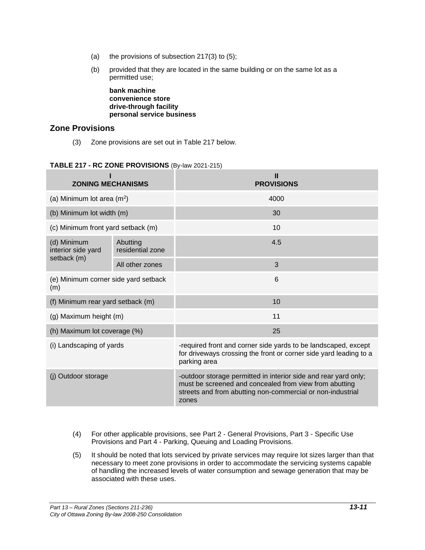- (a) the provisions of subsection  $217(3)$  to  $(5)$ ;
- (b) provided that they are located in the same building or on the same lot as a permitted use;

**bank machine convenience store drive-through facility personal service business**

## **Zone Provisions**

(3) Zone provisions are set out in Table 217 below.

#### **TABLE 217 - RC ZONE PROVISIONS** (By-law 2021-215)

| <b>ZONING MECHANISMS</b>                    |                              | Ш<br><b>PROVISIONS</b>                                                                                                                                                                           |  |
|---------------------------------------------|------------------------------|--------------------------------------------------------------------------------------------------------------------------------------------------------------------------------------------------|--|
| (a) Minimum lot area $(m^2)$                |                              | 4000                                                                                                                                                                                             |  |
| (b) Minimum lot width (m)                   |                              | 30                                                                                                                                                                                               |  |
| (c) Minimum front yard setback (m)          |                              | 10                                                                                                                                                                                               |  |
| (d) Minimum<br>interior side yard           | Abutting<br>residential zone | 4.5                                                                                                                                                                                              |  |
| setback (m)                                 | All other zones              | 3                                                                                                                                                                                                |  |
| (e) Minimum corner side yard setback<br>(m) |                              | 6                                                                                                                                                                                                |  |
| (f) Minimum rear yard setback (m)           |                              | 10                                                                                                                                                                                               |  |
| (g) Maximum height (m)                      |                              | 11                                                                                                                                                                                               |  |
| (h) Maximum lot coverage (%)                |                              | 25                                                                                                                                                                                               |  |
| (i) Landscaping of yards                    |                              | -required front and corner side yards to be landscaped, except<br>for driveways crossing the front or corner side yard leading to a<br>parking area                                              |  |
| (j) Outdoor storage                         |                              | -outdoor storage permitted in interior side and rear yard only;<br>must be screened and concealed from view from abutting<br>streets and from abutting non-commercial or non-industrial<br>zones |  |

- (4) For other applicable provisions, see Part 2 General Provisions, Part 3 Specific Use Provisions and Part 4 - Parking, Queuing and Loading Provisions.
- (5) It should be noted that lots serviced by private services may require lot sizes larger than that necessary to meet zone provisions in order to accommodate the servicing systems capable of handling the increased levels of water consumption and sewage generation that may be associated with these uses.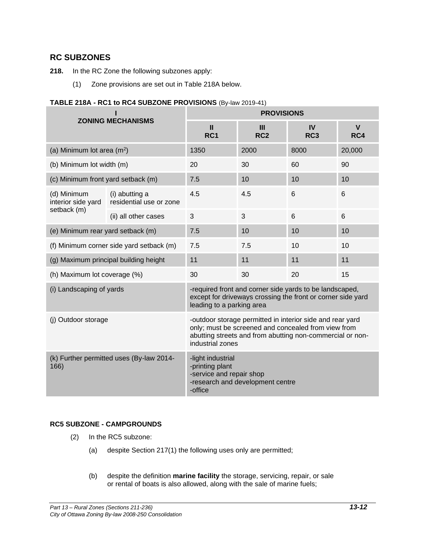## **RC SUBZONES**

- **218.** In the RC Zone the following subzones apply:
	- (1) Zone provisions are set out in Table 218A below.

## **TABLE 218A - RC1 to RC4 SUBZONE PROVISIONS** (By-law 2019-41)

| <b>ZONING MECHANISMS</b>                         |                                           | <b>PROVISIONS</b>                                                                                                                                                                                 |                      |                              |                     |
|--------------------------------------------------|-------------------------------------------|---------------------------------------------------------------------------------------------------------------------------------------------------------------------------------------------------|----------------------|------------------------------|---------------------|
|                                                  |                                           | $\mathbf{I}$<br>RC <sub>1</sub>                                                                                                                                                                   | Ш<br>RC <sub>2</sub> | <b>IV</b><br>RC <sub>3</sub> | $\mathbf{V}$<br>RC4 |
| (a) Minimum lot area $(m2)$                      |                                           | 1350                                                                                                                                                                                              | 2000                 | 8000                         | 20,000              |
| (b) Minimum lot width (m)                        |                                           | 20                                                                                                                                                                                                | 30                   | 60                           | 90                  |
| (c) Minimum front yard setback (m)               |                                           | 7.5                                                                                                                                                                                               | 10                   | 10                           | 10                  |
| (d) Minimum<br>interior side yard                | (i) abutting a<br>residential use or zone | 4.5                                                                                                                                                                                               | 4.5                  | 6                            | 6                   |
| setback (m)                                      | (ii) all other cases                      | $\mathbf{3}$                                                                                                                                                                                      | 3                    | 6                            | 6                   |
| (e) Minimum rear yard setback (m)                |                                           | 7.5                                                                                                                                                                                               | 10                   | 10                           | 10                  |
| (f) Minimum corner side yard setback (m)         |                                           | 7.5                                                                                                                                                                                               | 7.5                  | 10                           | 10                  |
| (g) Maximum principal building height            |                                           | 11                                                                                                                                                                                                | 11                   | 11                           | 11                  |
| (h) Maximum lot coverage (%)                     |                                           | 30                                                                                                                                                                                                | 30                   | 20                           | 15                  |
| (i) Landscaping of yards                         |                                           | -required front and corner side yards to be landscaped,<br>except for driveways crossing the front or corner side yard<br>leading to a parking area                                               |                      |                              |                     |
| (j) Outdoor storage                              |                                           | -outdoor storage permitted in interior side and rear yard<br>only; must be screened and concealed from view from<br>abutting streets and from abutting non-commercial or non-<br>industrial zones |                      |                              |                     |
| (k) Further permitted uses (By-law 2014-<br>166) |                                           | -light industrial<br>-printing plant<br>-service and repair shop<br>-research and development centre<br>-office                                                                                   |                      |                              |                     |

## **RC5 SUBZONE - CAMPGROUNDS**

- (2) In the RC5 subzone:
	- (a) despite Section 217(1) the following uses only are permitted;
	- (b) despite the definition **marine facility** the storage, servicing, repair, or sale or rental of boats is also allowed, along with the sale of marine fuels;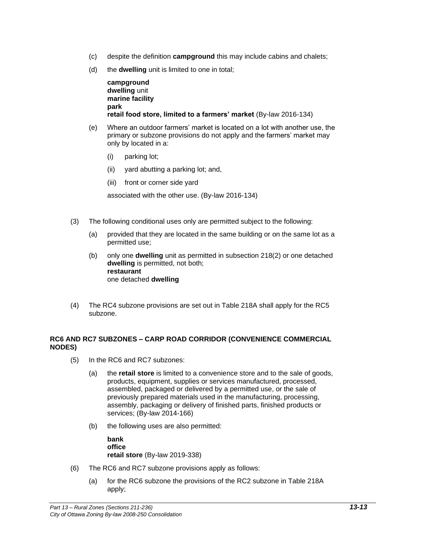- (c) despite the definition **campground** this may include cabins and chalets;
- (d) the **dwelling** unit is limited to one in total;

**campground dwelling** unit **marine facility park retail food store, limited to a farmers' market** (By-law 2016-134)

- (e) Where an outdoor farmers' market is located on a lot with another use, the primary or subzone provisions do not apply and the farmers' market may only by located in a:
	- (i) parking lot;
	- (ii) yard abutting a parking lot; and,
	- (iii) front or corner side yard

associated with the other use. (By-law 2016-134)

- (3) The following conditional uses only are permitted subject to the following:
	- (a) provided that they are located in the same building or on the same lot as a permitted use;
	- (b) only one **dwelling** unit as permitted in subsection 218(2) or one detached **dwelling** is permitted, not both; **restaurant** one detached **dwelling**
- (4) The RC4 subzone provisions are set out in Table 218A shall apply for the RC5 subzone.

#### **RC6 AND RC7 SUBZONES – CARP ROAD CORRIDOR (CONVENIENCE COMMERCIAL NODES)**

- (5) In the RC6 and RC7 subzones:
	- (a) the **retail store** is limited to a convenience store and to the sale of goods, products, equipment, supplies or services manufactured, processed, assembled, packaged or delivered by a permitted use, or the sale of previously prepared materials used in the manufacturing, processing, assembly, packaging or delivery of finished parts, finished products or services; (By-law 2014-166)
	- (b) the following uses are also permitted:

**bank office retail store** (By-law 2019-338)

- (6) The RC6 and RC7 subzone provisions apply as follows:
	- (a) for the RC6 subzone the provisions of the RC2 subzone in Table 218A apply;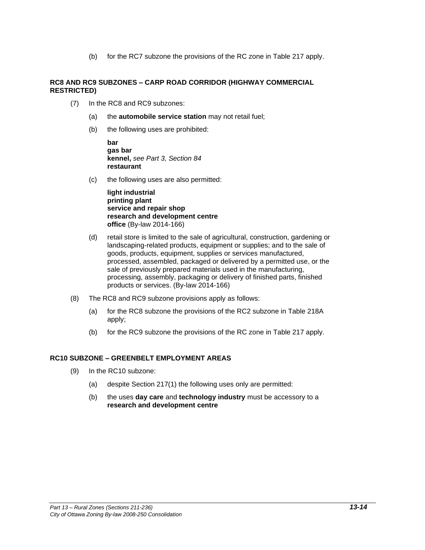(b) for the RC7 subzone the provisions of the RC zone in Table 217 apply.

#### **RC8 AND RC9 SUBZONES – CARP ROAD CORRIDOR (HIGHWAY COMMERCIAL RESTRICTED)**

- (7) In the RC8 and RC9 subzones:
	- (a) the **automobile service station** may not retail fuel;
	- (b) the following uses are prohibited:

**bar gas bar kennel,** *see Part 3, Section 84* **restaurant**

(c) the following uses are also permitted:

**light industrial printing plant service and repair shop research and development centre office** (By-law 2014-166)

- (d) retail store is limited to the sale of agricultural, construction, gardening or landscaping-related products, equipment or supplies; and to the sale of goods, products, equipment, supplies or services manufactured, processed, assembled, packaged or delivered by a permitted use, or the sale of previously prepared materials used in the manufacturing, processing, assembly, packaging or delivery of finished parts, finished products or services. (By-law 2014-166)
- (8) The RC8 and RC9 subzone provisions apply as follows:
	- (a) for the RC8 subzone the provisions of the RC2 subzone in Table 218A apply;
	- (b) for the RC9 subzone the provisions of the RC zone in Table 217 apply.

#### **RC10 SUBZONE – GREENBELT EMPLOYMENT AREAS**

- (9) In the RC10 subzone:
	- (a) despite Section 217(1) the following uses only are permitted:
	- (b) the uses **day care** and **technology industry** must be accessory to a **research and development centre**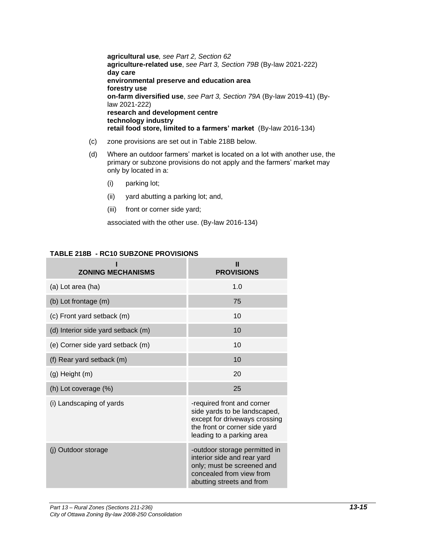**agricultural use***, see Part 2, Section 62* **agriculture-related use**, *see Part 3, Section 79B* (By-law 2021-222) **day care environmental preserve and education area forestry use on-farm diversified use**, *see Part 3, Section 79A* (By-law 2019-41) (Bylaw 2021-222) **research and development centre technology industry retail food store, limited to a farmers' market** (By-law 2016-134)

- (c) zone provisions are set out in Table 218B below.
- (d) Where an outdoor farmers' market is located on a lot with another use, the primary or subzone provisions do not apply and the farmers' market may only by located in a:
	- (i) parking lot;
	- (ii) yard abutting a parking lot; and,
	- (iii) front or corner side yard;

associated with the other use. (By-law 2016-134)

#### **TABLE 218B - RC10 SUBZONE PROVISIONS**

| <b>ZONING MECHANISMS</b>           | Ш<br><b>PROVISIONS</b>                                                                                                                                    |
|------------------------------------|-----------------------------------------------------------------------------------------------------------------------------------------------------------|
| (a) Lot area (ha)                  | 1.0                                                                                                                                                       |
| (b) Lot frontage (m)               | 75                                                                                                                                                        |
| (c) Front yard setback (m)         | 10                                                                                                                                                        |
| (d) Interior side yard setback (m) | 10                                                                                                                                                        |
| (e) Corner side yard setback (m)   | 10                                                                                                                                                        |
| (f) Rear yard setback (m)          | 10                                                                                                                                                        |
| (g) Height (m)                     | 20                                                                                                                                                        |
| (h) Lot coverage (%)               | 25                                                                                                                                                        |
| (i) Landscaping of yards           | -required front and corner<br>side yards to be landscaped,<br>except for driveways crossing<br>the front or corner side yard<br>leading to a parking area |
| (j) Outdoor storage                | -outdoor storage permitted in<br>interior side and rear yard<br>only; must be screened and<br>concealed from view from<br>abutting streets and from       |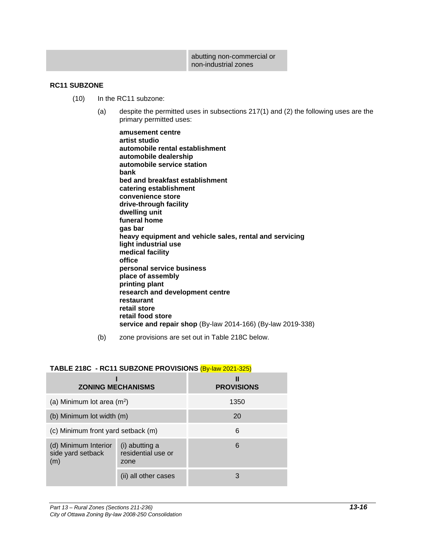| abutting non-commercial or |
|----------------------------|
| non-industrial zones       |

#### **RC11 SUBZONE**

- (10) In the RC11 subzone:
	- (a) despite the permitted uses in subsections 217(1) and (2) the following uses are the primary permitted uses:
		- **amusement centre artist studio automobile rental establishment automobile dealership automobile service station bank bed and breakfast establishment catering establishment convenience store drive-through facility dwelling unit funeral home gas bar heavy equipment and vehicle sales, rental and servicing light industrial use medical facility office personal service business place of assembly printing plant research and development centre restaurant retail store retail food store service and repair shop** (By-law 2014-166) (By-law 2019-338)
	- (b) zone provisions are set out in Table 218C below.

#### **TABLE 218C - RC11 SUBZONE PROVISIONS** (By-law 2021-325)

| <b>ZONING MECHANISMS</b>                         |                                              | Ш<br><b>PROVISIONS</b> |
|--------------------------------------------------|----------------------------------------------|------------------------|
| (a) Minimum lot area $(m^2)$                     |                                              | 1350                   |
| (b) Minimum lot width (m)                        |                                              | 20                     |
| (c) Minimum front yard setback (m)               |                                              | 6                      |
| (d) Minimum Interior<br>side yard setback<br>(m) | (i) abutting a<br>residential use or<br>zone | 6                      |
|                                                  | (ii) all other cases                         | 3                      |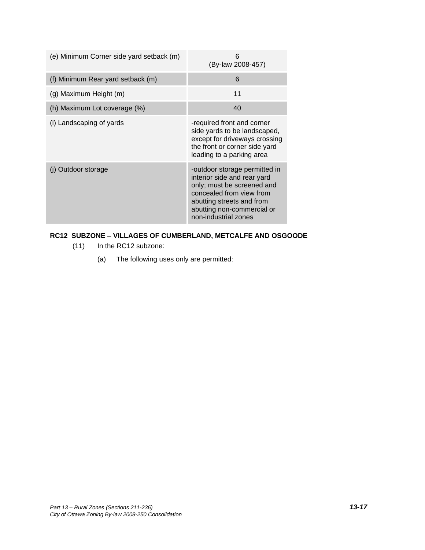| (e) Minimum Corner side yard setback (m) | 6<br>(By-law 2008-457)                                                                                                                                                                                    |
|------------------------------------------|-----------------------------------------------------------------------------------------------------------------------------------------------------------------------------------------------------------|
| (f) Minimum Rear yard setback (m)        | 6                                                                                                                                                                                                         |
| (g) Maximum Height (m)                   | 11                                                                                                                                                                                                        |
| (h) Maximum Lot coverage (%)             | 40                                                                                                                                                                                                        |
| (i) Landscaping of yards                 | -required front and corner<br>side yards to be landscaped,<br>except for driveways crossing<br>the front or corner side yard<br>leading to a parking area                                                 |
| (j) Outdoor storage                      | -outdoor storage permitted in<br>interior side and rear yard<br>only; must be screened and<br>concealed from view from<br>abutting streets and from<br>abutting non-commercial or<br>non-industrial zones |

## **RC12 SUBZONE – VILLAGES OF CUMBERLAND, METCALFE AND OSGOODE**

- (11) In the RC12 subzone:
	- (a) The following uses only are permitted: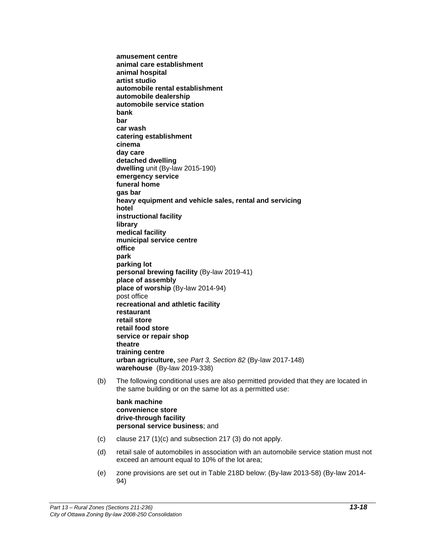**amusement centre animal care establishment animal hospital artist studio automobile rental establishment automobile dealership automobile service station bank bar car wash catering establishment cinema day care detached dwelling dwelling** unit (By-law 2015-190) **emergency service funeral home gas bar heavy equipment and vehicle sales, rental and servicing hotel instructional facility library medical facility municipal service centre office park parking lot personal brewing facility** (By-law 2019-41) **place of assembly place of worship** (By-law 2014-94) post office **recreational and athletic facility restaurant retail store retail food store service or repair shop theatre training centre urban agriculture,** *see Part 3, Section 82* (By-law 2017-148) **warehouse** (By-law 2019-338)

(b) The following conditional uses are also permitted provided that they are located in the same building or on the same lot as a permitted use:

**bank machine convenience store drive-through facility personal service business**; and

- (c) clause 217 (1)(c) and subsection 217 (3) do not apply.
- (d) retail sale of automobiles in association with an automobile service station must not exceed an amount equal to 10% of the lot area;
- (e) zone provisions are set out in Table 218D below: (By-law 2013-58) (By-law 2014- 94)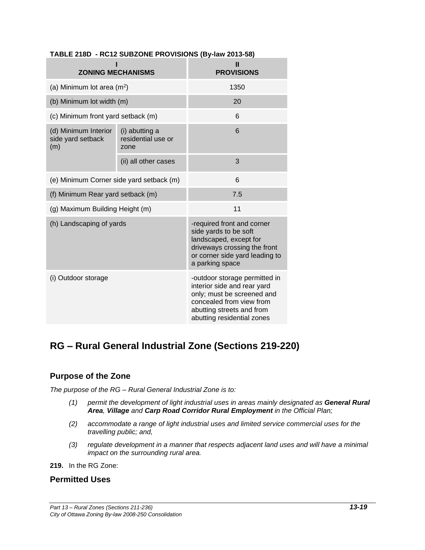| <b>ZONING MECHANISMS</b>                         |                                              | Ш<br><b>PROVISIONS</b>                                                                                                                                                            |
|--------------------------------------------------|----------------------------------------------|-----------------------------------------------------------------------------------------------------------------------------------------------------------------------------------|
| (a) Minimum lot area $(m^2)$                     |                                              | 1350                                                                                                                                                                              |
| (b) Minimum lot width (m)                        |                                              | 20                                                                                                                                                                                |
| (c) Minimum front yard setback (m)               |                                              | 6                                                                                                                                                                                 |
| (d) Minimum Interior<br>side yard setback<br>(m) | (i) abutting a<br>residential use or<br>zone | 6                                                                                                                                                                                 |
|                                                  | (ii) all other cases                         | 3                                                                                                                                                                                 |
| (e) Minimum Corner side yard setback (m)         |                                              | 6                                                                                                                                                                                 |
| (f) Minimum Rear yard setback (m)                |                                              | 7.5                                                                                                                                                                               |
| (g) Maximum Building Height (m)                  |                                              | 11                                                                                                                                                                                |
| (h) Landscaping of yards                         |                                              | -required front and corner<br>side yards to be soft<br>landscaped, except for<br>driveways crossing the front<br>or corner side yard leading to<br>a parking space                |
| (i) Outdoor storage                              |                                              | -outdoor storage permitted in<br>interior side and rear yard<br>only; must be screened and<br>concealed from view from<br>abutting streets and from<br>abutting residential zones |

## **TABLE 218D - RC12 SUBZONE PROVISIONS (By-law 2013-58)**

# **RG – Rural General Industrial Zone (Sections 219-220)**

## **Purpose of the Zone**

*The purpose of the RG – Rural General Industrial Zone is to:*

- *(1) permit the development of light industrial uses in areas mainly designated as General Rural Area, Village and Carp Road Corridor Rural Employment in the Official Plan;*
- *(2) accommodate a range of light industrial uses and limited service commercial uses for the travelling public; and,*
- *(3) regulate development in a manner that respects adjacent land uses and will have a minimal impact on the surrounding rural area.*

**219.** In the RG Zone:

## **Permitted Uses**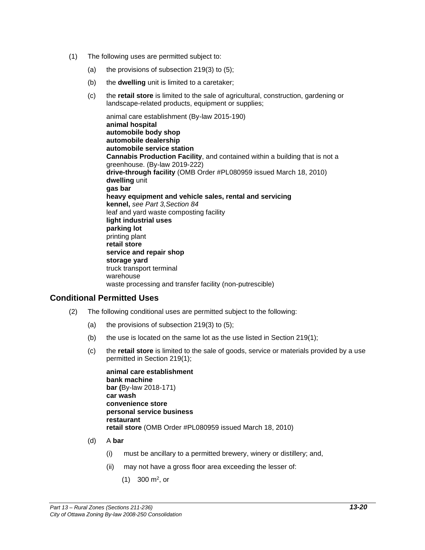- (1) The following uses are permitted subject to:
	- (a) the provisions of subsection  $219(3)$  to (5);
	- (b) the **dwelling** unit is limited to a caretaker;
	- (c) the **retail store** is limited to the sale of agricultural, construction, gardening or landscape-related products, equipment or supplies;

animal care establishment (By-law 2015-190) **animal hospital automobile body shop automobile dealership automobile service station Cannabis Production Facility**, and contained within a building that is not a greenhouse. (By-law 2019-222) **drive-through facility** (OMB Order #PL080959 issued March 18, 2010) **dwelling** unit **gas bar heavy equipment and vehicle sales, rental and servicing kennel,** *see Part 3,Section 84* leaf and yard waste composting facility **light industrial uses parking lot** printing plant **retail store service and repair shop storage yard** truck transport terminal warehouse waste processing and transfer facility (non-putrescible)

## **Conditional Permitted Uses**

- (2) The following conditional uses are permitted subject to the following:
	- (a) the provisions of subsection 219(3) to (5);
	- (b) the use is located on the same lot as the use listed in Section 219(1);
	- (c) the **retail store** is limited to the sale of goods, service or materials provided by a use permitted in Section 219(1);

**animal care establishment bank machine bar (**By-law 2018-171) **car wash convenience store personal service business restaurant retail store** (OMB Order #PL080959 issued March 18, 2010)

- (d) A **bar**
	- (i) must be ancillary to a permitted brewery, winery or distillery; and,
	- (ii) may not have a gross floor area exceeding the lesser of:
		- $(1)$  300 m<sup>2</sup>, or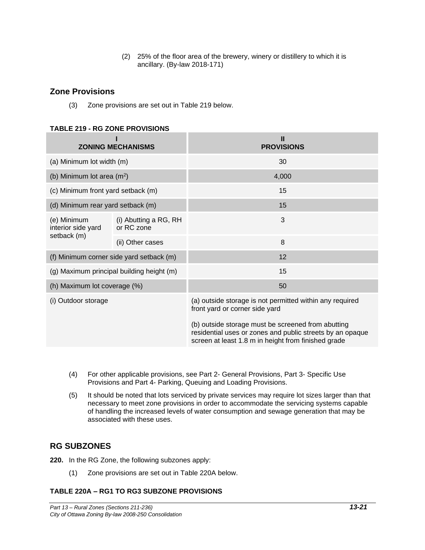(2) 25% of the floor area of the brewery, winery or distillery to which it is ancillary. (By-law 2018-171)

## **Zone Provisions**

(3) Zone provisions are set out in Table 219 below.

#### **TABLE 219 - RG ZONE PROVISIONS**

|                                                  | <b>ZONING MECHANISMS</b>                  | Ш<br><b>PROVISIONS</b>                                                                                                                                                 |  |
|--------------------------------------------------|-------------------------------------------|------------------------------------------------------------------------------------------------------------------------------------------------------------------------|--|
| (a) Minimum lot width (m)                        |                                           | 30                                                                                                                                                                     |  |
| (b) Minimum lot area $(m^2)$                     |                                           | 4,000                                                                                                                                                                  |  |
| (c) Minimum front yard setback (m)               |                                           | 15                                                                                                                                                                     |  |
| (d) Minimum rear yard setback (m)                |                                           | 15                                                                                                                                                                     |  |
| (e) Minimum<br>interior side yard<br>setback (m) | (i) Abutting a RG, RH<br>or RC zone       | 3                                                                                                                                                                      |  |
|                                                  | (ii) Other cases                          | 8                                                                                                                                                                      |  |
| (f) Minimum corner side yard setback (m)         |                                           | 12                                                                                                                                                                     |  |
|                                                  | (g) Maximum principal building height (m) | 15                                                                                                                                                                     |  |
| (h) Maximum lot coverage (%)                     |                                           | 50                                                                                                                                                                     |  |
| (i) Outdoor storage                              |                                           | (a) outside storage is not permitted within any required<br>front yard or corner side yard                                                                             |  |
|                                                  |                                           | (b) outside storage must be screened from abutting<br>residential uses or zones and public streets by an opaque<br>screen at least 1.8 m in height from finished grade |  |

- (4) For other applicable provisions, see Part 2- General Provisions, Part 3- Specific Use Provisions and Part 4- Parking, Queuing and Loading Provisions.
- (5) It should be noted that lots serviced by private services may require lot sizes larger than that necessary to meet zone provisions in order to accommodate the servicing systems capable of handling the increased levels of water consumption and sewage generation that may be associated with these uses.

## **RG SUBZONES**

- **220.** In the RG Zone, the following subzones apply:
	- (1) Zone provisions are set out in Table 220A below.

#### **TABLE 220A – RG1 TO RG3 SUBZONE PROVISIONS**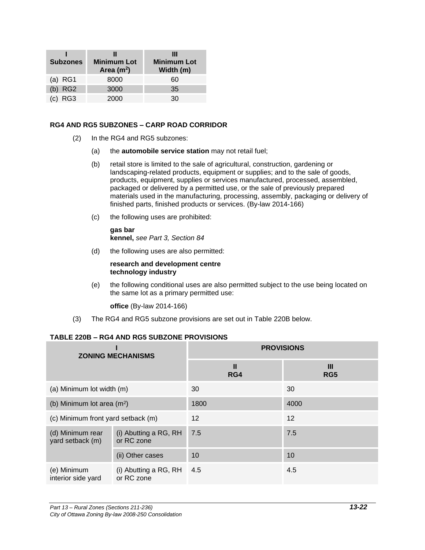| <b>Subzones</b> | <b>Minimum Lot</b><br>Area $(m2)$ | Ш<br><b>Minimum Lot</b><br>Width (m) |
|-----------------|-----------------------------------|--------------------------------------|
| $(a)$ RG1       | 8000                              | 60                                   |
| $(b)$ RG2       | 3000                              | 35                                   |
| RG <sub>3</sub> | 2000                              | 30                                   |

#### **RG4 AND RG5 SUBZONES – CARP ROAD CORRIDOR**

- (2) In the RG4 and RG5 subzones:
	- (a) the **automobile service station** may not retail fuel;
	- (b) retail store is limited to the sale of agricultural, construction, gardening or landscaping-related products, equipment or supplies; and to the sale of goods, products, equipment, supplies or services manufactured, processed, assembled, packaged or delivered by a permitted use, or the sale of previously prepared materials used in the manufacturing, processing, assembly, packaging or delivery of finished parts, finished products or services. (By-law 2014-166)
	- (c) the following uses are prohibited:

**gas bar kennel,** *see Part 3, Section 84*

(d) the following uses are also permitted:

#### **research and development centre technology industry**

(e) the following conditional uses are also permitted subject to the use being located on the same lot as a primary permitted use:

**office** (By-law 2014-166)

(3) The RG4 and RG5 subzone provisions are set out in Table 220B below.

#### **TABLE 220B – RG4 AND RG5 SUBZONE PROVISIONS**

| <b>ZONING MECHANISMS</b>                                                                        |                                     | <b>PROVISIONS</b> |                      |  |
|-------------------------------------------------------------------------------------------------|-------------------------------------|-------------------|----------------------|--|
|                                                                                                 |                                     | Ш<br>RG4          | Ш<br>RG <sub>5</sub> |  |
| (a) Minimum lot width (m)                                                                       |                                     | 30                | 30                   |  |
| (b) Minimum lot area $(m2)$                                                                     |                                     | 1800              | 4000                 |  |
| (c) Minimum front yard setback (m)                                                              |                                     | $12 \overline{ }$ | 12                   |  |
| (i) Abutting a RG, RH<br>(d) Minimum rear<br>or RC zone<br>yard setback (m)<br>(ii) Other cases |                                     | 7.5               | 7.5                  |  |
|                                                                                                 |                                     | 10                | 10                   |  |
| (e) Minimum<br>interior side yard                                                               | (i) Abutting a RG, RH<br>or RC zone | 4.5               | 4.5                  |  |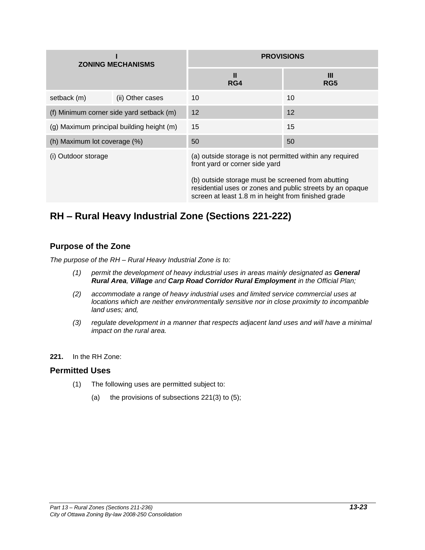| <b>ZONING MECHANISMS</b>                  |                  | <b>PROVISIONS</b>                                                                                                                                                      |          |  |
|-------------------------------------------|------------------|------------------------------------------------------------------------------------------------------------------------------------------------------------------------|----------|--|
|                                           |                  | Ш<br>RG4                                                                                                                                                               | Ш<br>RG5 |  |
| setback (m)                               | (ii) Other cases | 10                                                                                                                                                                     | 10       |  |
| (f) Minimum corner side yard setback (m)  |                  | 12                                                                                                                                                                     | 12       |  |
| (g) Maximum principal building height (m) |                  | 15                                                                                                                                                                     | 15       |  |
| (h) Maximum lot coverage (%)              |                  | 50                                                                                                                                                                     | 50       |  |
| (i) Outdoor storage                       |                  | (a) outside storage is not permitted within any required<br>front yard or corner side yard                                                                             |          |  |
|                                           |                  | (b) outside storage must be screened from abutting<br>residential uses or zones and public streets by an opaque<br>screen at least 1.8 m in height from finished grade |          |  |

# **RH – Rural Heavy Industrial Zone (Sections 221-222)**

## **Purpose of the Zone**

*The purpose of the RH – Rural Heavy Industrial Zone is to:*

- *(1) permit the development of heavy industrial uses in areas mainly designated as General Rural Area, Village and Carp Road Corridor Rural Employment in the Official Plan;*
- *(2) accommodate a range of heavy industrial uses and limited service commercial uses at locations which are neither environmentally sensitive nor in close proximity to incompatible land uses; and,*
- *(3) regulate development in a manner that respects adjacent land uses and will have a minimal impact on the rural area.*
- **221.** In the RH Zone:

## **Permitted Uses**

- (1) The following uses are permitted subject to:
	- (a) the provisions of subsections  $221(3)$  to  $(5)$ ;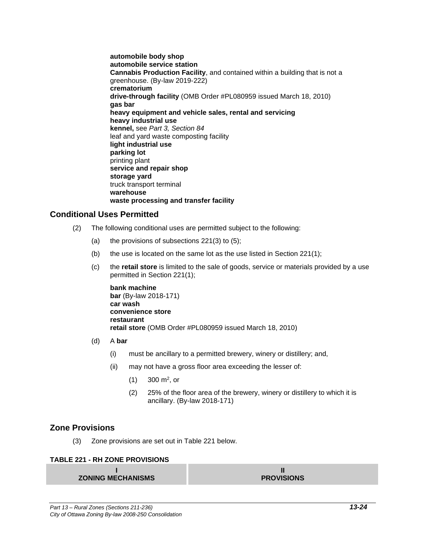**automobile body shop automobile service station Cannabis Production Facility**, and contained within a building that is not a greenhouse. (By-law 2019-222) **crematorium drive-through facility** (OMB Order #PL080959 issued March 18, 2010) **gas bar heavy equipment and vehicle sales, rental and servicing heavy industrial use kennel,** see *Part 3, Section 84* leaf and yard waste composting facility **light industrial use parking lot** printing plant **service and repair shop storage yard** truck transport terminal **warehouse waste processing and transfer facility** 

## **Conditional Uses Permitted**

- (2) The following conditional uses are permitted subject to the following:
	- (a) the provisions of subsections  $221(3)$  to  $(5)$ ;
	- (b) the use is located on the same lot as the use listed in Section 221(1);
	- (c) the **retail store** is limited to the sale of goods, service or materials provided by a use permitted in Section 221(1);

**bank machine bar** (By-law 2018-171) **car wash convenience store restaurant retail store** (OMB Order #PL080959 issued March 18, 2010)

- (d) A **bar**
	- (i) must be ancillary to a permitted brewery, winery or distillery; and,
	- (ii) may not have a gross floor area exceeding the lesser of:
		- $(1)$  300 m<sup>2</sup>, or
		- (2) 25% of the floor area of the brewery, winery or distillery to which it is ancillary. (By-law 2018-171)

## **Zone Provisions**

(3) Zone provisions are set out in Table 221 below.

#### **TABLE 221 - RH ZONE PROVISIONS**

**I ZONING MECHANISMS**

**II PROVISIONS**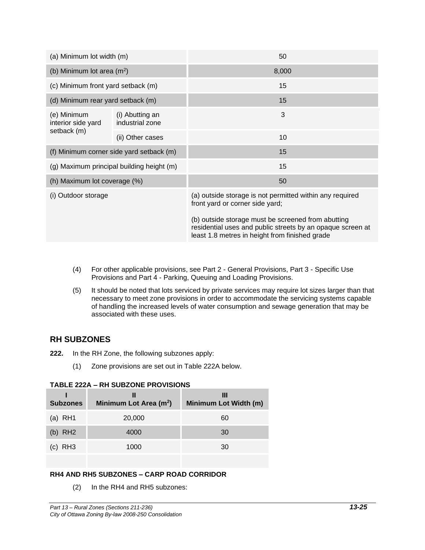| (a) Minimum lot width (m)                |                                           | 50                                                                                                                                                                 |  |
|------------------------------------------|-------------------------------------------|--------------------------------------------------------------------------------------------------------------------------------------------------------------------|--|
| (b) Minimum lot area $(m^2)$             |                                           | 8,000                                                                                                                                                              |  |
| (c) Minimum front yard setback (m)       |                                           | 15                                                                                                                                                                 |  |
| (d) Minimum rear yard setback (m)        |                                           | 15                                                                                                                                                                 |  |
| (e) Minimum<br>interior side yard        | (i) Abutting an<br>industrial zone        | 3                                                                                                                                                                  |  |
| setback (m)                              | (ii) Other cases                          | 10                                                                                                                                                                 |  |
| (f) Minimum corner side yard setback (m) |                                           | 15                                                                                                                                                                 |  |
|                                          | (g) Maximum principal building height (m) | 15                                                                                                                                                                 |  |
| (h) Maximum lot coverage (%)             |                                           | 50                                                                                                                                                                 |  |
| (i) Outdoor storage                      |                                           | (a) outside storage is not permitted within any required<br>front yard or corner side yard;                                                                        |  |
|                                          |                                           | (b) outside storage must be screened from abutting<br>residential uses and public streets by an opaque screen at<br>least 1.8 metres in height from finished grade |  |

- (4) For other applicable provisions, see Part 2 General Provisions, Part 3 Specific Use Provisions and Part 4 - Parking, Queuing and Loading Provisions.
- (5) It should be noted that lots serviced by private services may require lot sizes larger than that necessary to meet zone provisions in order to accommodate the servicing systems capable of handling the increased levels of water consumption and sewage generation that may be associated with these uses.

## **RH SUBZONES**

- **222.** In the RH Zone, the following subzones apply:
	- (1) Zone provisions are set out in Table 222A below.

#### **TABLE 222A – RH SUBZONE PROVISIONS**

| <b>Subzones</b> | Ш<br>Minimum Lot Area (m <sup>2</sup> ) | Ш<br>Minimum Lot Width (m) |
|-----------------|-----------------------------------------|----------------------------|
| (a) $RH1$       | 20,000                                  | 60                         |
| (b) $RH2$       | 4000                                    | 30                         |
| $(c)$ RH3       | 1000                                    | 30                         |

#### **RH4 AND RH5 SUBZONES – CARP ROAD CORRIDOR**

(2) In the RH4 and RH5 subzones: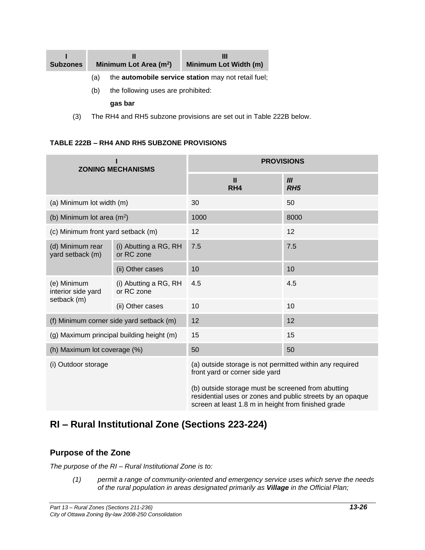| <b>Subzones</b> |     | Minimum Lot Area (m <sup>2</sup> ) | Ш<br>Minimum Lot Width (m)                                 |
|-----------------|-----|------------------------------------|------------------------------------------------------------|
|                 | (a) |                                    | the <b>automobile service station</b> may not retail fuel; |
|                 | (b) | the following uses are prohibited: |                                                            |
|                 |     | gas bar                            |                                                            |

(3) The RH4 and RH5 subzone provisions are set out in Table 222B below.

#### **TABLE 222B – RH4 AND RH5 SUBZONE PROVISIONS**

| <b>ZONING MECHANISMS</b>               |                                           | <b>PROVISIONS</b>                                                                                                                                                      |                        |  |
|----------------------------------------|-------------------------------------------|------------------------------------------------------------------------------------------------------------------------------------------------------------------------|------------------------|--|
|                                        |                                           | $\mathbf{I}$<br>RH4                                                                                                                                                    | III<br>RH <sub>5</sub> |  |
| (a) Minimum lot width (m)              |                                           | 30                                                                                                                                                                     | 50                     |  |
| (b) Minimum lot area (m <sup>2</sup> ) |                                           | 1000                                                                                                                                                                   | 8000                   |  |
| (c) Minimum front yard setback (m)     |                                           | 12                                                                                                                                                                     | 12                     |  |
| (d) Minimum rear<br>yard setback (m)   | (i) Abutting a RG, RH<br>or RC zone       | 7.5                                                                                                                                                                    | 7.5                    |  |
|                                        | (ii) Other cases                          | 10                                                                                                                                                                     | 10                     |  |
| (e) Minimum<br>interior side yard      | (i) Abutting a RG, RH<br>or RC zone       | 4.5                                                                                                                                                                    | 4.5                    |  |
| setback (m)                            | (ii) Other cases                          | 10                                                                                                                                                                     | 10                     |  |
|                                        | (f) Minimum corner side yard setback (m)  | 12                                                                                                                                                                     | 12                     |  |
|                                        | (g) Maximum principal building height (m) | 15                                                                                                                                                                     | 15                     |  |
| (h) Maximum lot coverage (%)           |                                           | 50                                                                                                                                                                     | 50                     |  |
| (i) Outdoor storage                    |                                           | (a) outside storage is not permitted within any required<br>front yard or corner side yard                                                                             |                        |  |
|                                        |                                           | (b) outside storage must be screened from abutting<br>residential uses or zones and public streets by an opaque<br>screen at least 1.8 m in height from finished grade |                        |  |

# **RI – Rural Institutional Zone (Sections 223-224)**

## **Purpose of the Zone**

*The purpose of the RI – Rural Institutional Zone is to:*

*(1) permit a range of community-oriented and emergency service uses which serve the needs of the rural population in areas designated primarily as Village in the Official Plan;*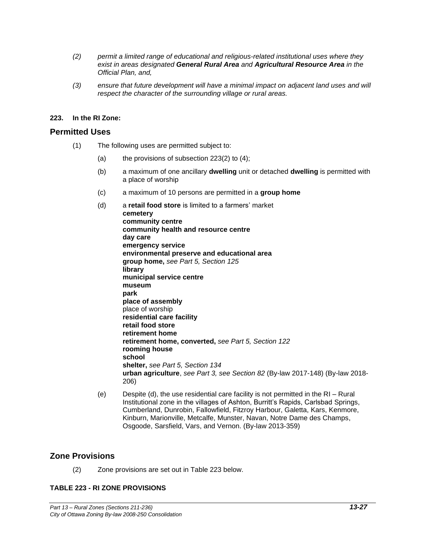- *(2) permit a limited range of educational and religious-related institutional uses where they exist in areas designated General Rural Area and Agricultural Resource Area in the Official Plan, and,*
- *(3) ensure that future development will have a minimal impact on adjacent land uses and will respect the character of the surrounding village or rural areas.*

#### **223. In the RI Zone:**

#### **Permitted Uses**

- (1) The following uses are permitted subject to:
	- (a) the provisions of subsection  $223(2)$  to  $(4)$ ;
	- (b) a maximum of one ancillary **dwelling** unit or detached **dwelling** is permitted with a place of worship
	- (c) a maximum of 10 persons are permitted in a **group home**
	- (d) a **retail food store** is limited to a farmers' market **cemetery community centre community health and resource centre day care emergency service environmental preserve and educational area group home,** *see Part 5, Section 125* **library municipal service centre museum park place of assembly** place of worship **residential care facility retail food store retirement home retirement home, converted,** *see Part 5, Section 122*  **rooming house school shelter,** *see Part 5, Section 134* **urban agriculture**, *see Part 3, see Section 82* (By-law 2017-148) (By-law 2018- 206)
	- (e) Despite (d), the use residential care facility is not permitted in the RI Rural Institutional zone in the villages of Ashton, Burritt's Rapids, Carlsbad Springs, Cumberland, Dunrobin, Fallowfield, Fitzroy Harbour, Galetta, Kars, Kenmore, Kinburn, Marionville, Metcalfe, Munster, Navan, Notre Dame des Champs, Osgoode, Sarsfield, Vars, and Vernon. (By-law 2013-359)

#### **Zone Provisions**

(2) Zone provisions are set out in Table 223 below.

#### **TABLE 223 - RI ZONE PROVISIONS**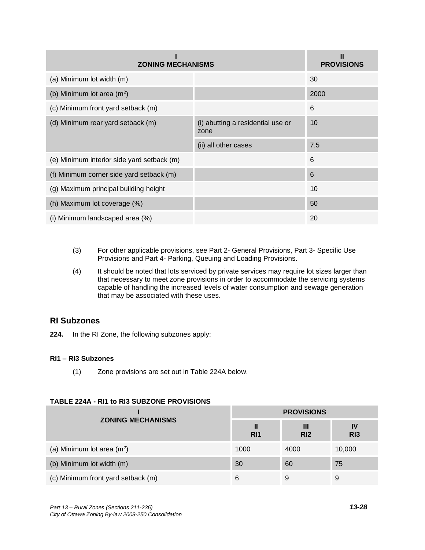| <b>ZONING MECHANISMS</b>                   | Ш<br><b>PROVISIONS</b>                    |      |
|--------------------------------------------|-------------------------------------------|------|
| (a) Minimum lot width (m)                  |                                           | 30   |
| (b) Minimum lot area $(m^2)$               |                                           | 2000 |
| (c) Minimum front yard setback (m)         |                                           | 6    |
| (d) Minimum rear yard setback (m)          | (i) abutting a residential use or<br>zone | 10   |
|                                            | (ii) all other cases                      | 7.5  |
| (e) Minimum interior side yard setback (m) |                                           | 6    |
| (f) Minimum corner side yard setback (m)   |                                           | 6    |
| (g) Maximum principal building height      |                                           | 10   |
| (h) Maximum lot coverage (%)               |                                           | 50   |
| (i) Minimum landscaped area (%)            |                                           | 20   |

- (3) For other applicable provisions, see Part 2- General Provisions, Part 3- Specific Use Provisions and Part 4- Parking, Queuing and Loading Provisions.
- (4) It should be noted that lots serviced by private services may require lot sizes larger than that necessary to meet zone provisions in order to accommodate the servicing systems capable of handling the increased levels of water consumption and sewage generation that may be associated with these uses.

## **RI Subzones**

**224.** In the RI Zone, the following subzones apply:

## **RI1 – RI3 Subzones**

(1) Zone provisions are set out in Table 224A below.

|                                    | <b>PROVISIONS</b>    |                      |                       |
|------------------------------------|----------------------|----------------------|-----------------------|
| <b>ZONING MECHANISMS</b>           | Ш<br>R <sub>11</sub> | Ш<br>R <sub>12</sub> | IV<br>R <sub>13</sub> |
| (a) Minimum lot area $(m2)$        | 1000                 | 4000                 | 10,000                |
| (b) Minimum lot width (m)          | 30                   | 60                   | 75                    |
| (c) Minimum front yard setback (m) | 6                    | 9                    | 9                     |

## **TABLE 224A - RI1 to RI3 SUBZONE PROVISIONS**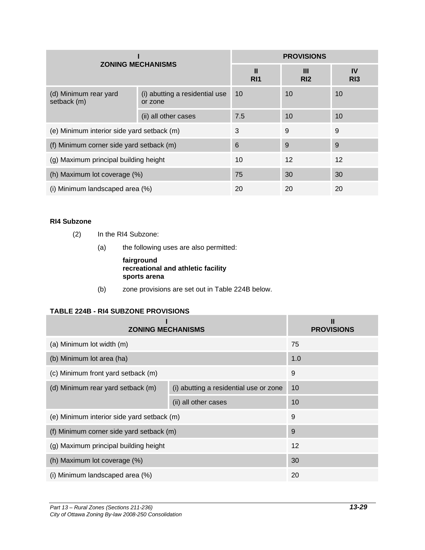| <b>ZONING MECHANISMS</b>                   |                                           | <b>PROVISIONS</b>    |                      |                  |
|--------------------------------------------|-------------------------------------------|----------------------|----------------------|------------------|
|                                            |                                           | Ш<br>R <sub>11</sub> | Ш<br>R <sub>12</sub> | <b>IV</b><br>R13 |
| (d) Minimum rear yard<br>setback (m)       | (i) abutting a residential use<br>or zone | 10                   | 10                   | 10               |
|                                            | (ii) all other cases                      | 7.5                  | 10                   | 10               |
| (e) Minimum interior side yard setback (m) |                                           | 3                    | 9                    | 9                |
| (f) Minimum corner side yard setback (m)   |                                           | 6                    | 9                    | 9                |
| (g) Maximum principal building height      |                                           | 10                   | 12                   | 12               |
| (h) Maximum lot coverage (%)               |                                           | 75                   | 30                   | 30               |
| (i) Minimum landscaped area (%)            |                                           | 20                   | 20                   | 20               |

## **RI4 Subzone**

- (2) In the RI4 Subzone:
	- (a) the following uses are also permitted:

#### **fairground recreational and athletic facility sports arena**

(b) zone provisions are set out in Table 224B below.

## **TABLE 224B - RI4 SUBZONE PROVISIONS**

| <b>ZONING MECHANISMS</b>                   |                                        | Ш<br><b>PROVISIONS</b> |
|--------------------------------------------|----------------------------------------|------------------------|
| (a) Minimum lot width (m)                  |                                        | 75                     |
| (b) Minimum lot area (ha)                  |                                        | 1.0                    |
| (c) Minimum front yard setback (m)         |                                        | 9                      |
| (d) Minimum rear yard setback (m)          | (i) abutting a residential use or zone | 10                     |
|                                            | (ii) all other cases                   | 10                     |
| (e) Minimum interior side yard setback (m) |                                        | 9                      |
| (f) Minimum corner side yard setback (m)   |                                        | 9                      |
| (g) Maximum principal building height      |                                        | 12                     |
| (h) Maximum lot coverage (%)               |                                        | 30                     |
| (i) Minimum landscaped area (%)            |                                        | 20                     |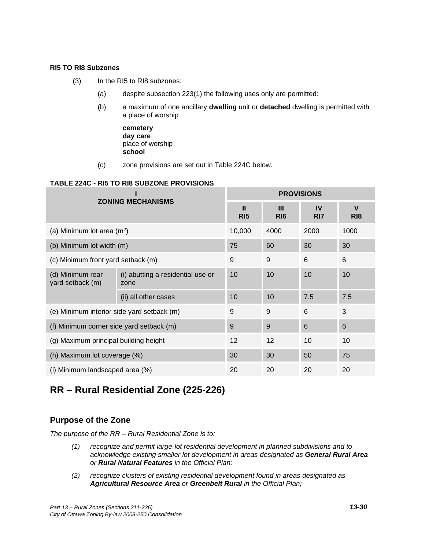#### **RI5 TO RI8 Subzones**

- (3) In the RI5 to RI8 subzones:
	- (a) despite subsection 223(1) the following uses only are permitted:
	- (b) a maximum of one ancillary **dwelling** unit or **detached** dwelling is permitted with a place of worship
		- **cemetery day care** place of worship **school**
	- (c) zone provisions are set out in Table 224C below.

#### **TABLE 224C - RI5 TO RI8 SUBZONE PROVISIONS**

| <b>ZONING MECHANISMS</b>                   |                                           | <b>PROVISIONS</b>               |                      |                       |                                |
|--------------------------------------------|-------------------------------------------|---------------------------------|----------------------|-----------------------|--------------------------------|
|                                            |                                           | $\mathbf{I}$<br>R <sub>15</sub> | Ш<br>R <sub>16</sub> | IV<br>R <sub>17</sub> | $\mathbf v$<br>R <sub>18</sub> |
| (a) Minimum lot area $(m2)$                |                                           | 10,000                          | 4000                 | 2000                  | 1000                           |
| (b) Minimum lot width (m)                  |                                           | 75                              | 60                   | 30                    | 30                             |
| (c) Minimum front yard setback (m)         |                                           | 9                               | 9                    | 6                     | 6                              |
| (d) Minimum rear<br>yard setback (m)       | (i) abutting a residential use or<br>zone | 10                              | 10                   | 10                    | 10                             |
|                                            | (ii) all other cases                      | 10                              | 10                   | 7.5                   | 7.5                            |
| (e) Minimum interior side yard setback (m) |                                           | 9                               | 9                    | 6                     | 3                              |
| (f) Minimum corner side yard setback (m)   |                                           | 9                               | 9                    | 6                     | 6                              |
| (g) Maximum principal building height      |                                           | 12                              | 12                   | 10                    | 10                             |
| (h) Maximum lot coverage (%)               |                                           | 30                              | 30                   | 50                    | 75                             |
| (i) Minimum landscaped area (%)            |                                           | 20                              | 20                   | 20                    | 20                             |

# **RR – Rural Residential Zone (225-226)**

## **Purpose of the Zone**

*The purpose of the RR – Rural Residential Zone is to:*

- *(1) recognize and permit large-lot residential development in planned subdivisions and to acknowledge existing smaller lot development in areas designated as General Rural Area or Rural Natural Features in the Official Plan;*
- *(2) recognize clusters of existing residential development found in areas designated as Agricultural Resource Area or Greenbelt Rural in the Official Plan;*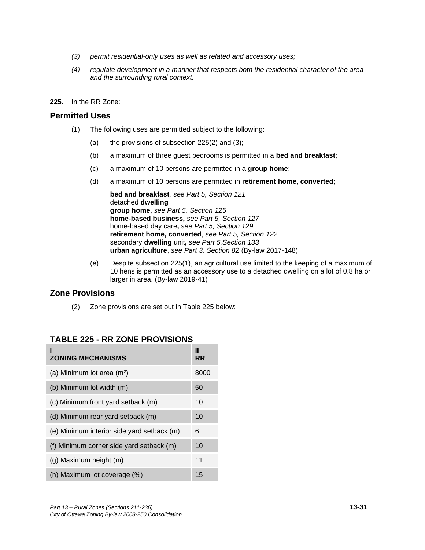- *(3) permit residential-only uses as well as related and accessory uses;*
- *(4) regulate development in a manner that respects both the residential character of the area and the surrounding rural context.*
- **225.** In the RR Zone:

#### **Permitted Uses**

- (1) The following uses are permitted subject to the following:
	- (a) the provisions of subsection  $225(2)$  and  $(3)$ ;
	- (b) a maximum of three guest bedrooms is permitted in a **bed and breakfast**;
	- (c) a maximum of 10 persons are permitted in a **group home**;
	- (d) a maximum of 10 persons are permitted in **retirement home, converted**;

**bed and breakfast***, see Part 5, Section 121* detached **dwelling group home,** *see Part 5, Section 125* **home-based business,** *see Part 5, Section 127* home-based day care**,** *see Part 5, Section 129* **retirement home, converted**, *see Part 5, Section 122* secondary **dwelling** unit**,** *see Part 5,Section 133* **urban agriculture**, *see Part 3, Section 82* (By-law 2017-148)

(e) Despite subsection 225(1), an agricultural use limited to the keeping of a maximum of 10 hens is permitted as an accessory use to a detached dwelling on a lot of 0.8 ha or larger in area. (By-law 2019-41)

## **Zone Provisions**

(2) Zone provisions are set out in Table 225 below:

| <b>ZONING MECHANISMS</b>                   | Ш<br><b>RR</b> |
|--------------------------------------------|----------------|
| (a) Minimum lot area $(m2)$                | 8000           |
| (b) Minimum lot width (m)                  | 50             |
| (c) Minimum front yard setback (m)         | 10             |
| (d) Minimum rear yard setback (m)          | 10             |
| (e) Minimum interior side yard setback (m) | 6              |
| (f) Minimum corner side yard setback (m)   | 10             |
| (g) Maximum height (m)                     | 11             |
| (h) Maximum lot coverage (%)               | 15             |

## **TABLE 225 - RR ZONE PROVISIONS**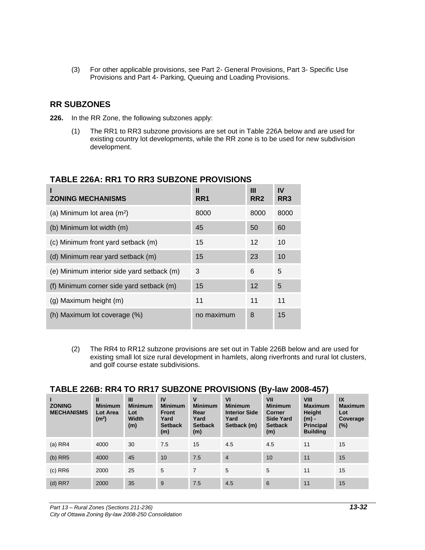(3) For other applicable provisions, see Part 2- General Provisions, Part 3- Specific Use Provisions and Part 4- Parking, Queuing and Loading Provisions.

## **RR SUBZONES**

- **226.** In the RR Zone, the following subzones apply:
	- (1) The RR1 to RR3 subzone provisions are set out in Table 226A below and are used for existing country lot developments, while the RR zone is to be used for new subdivision development.

| <b>ZONING MECHANISMS</b>                   | Ш<br>RR1   | Ш<br>RR <sub>2</sub> | IV<br>RR <sub>3</sub> |
|--------------------------------------------|------------|----------------------|-----------------------|
| (a) Minimum lot area $(m^2)$               | 8000       | 8000                 | 8000                  |
| (b) Minimum lot width (m)                  | 45         | 50                   | 60                    |
| (c) Minimum front yard setback (m)         | 15         | 12                   | 10                    |
| (d) Minimum rear yard setback (m)          | 15         | 23                   | 10                    |
| (e) Minimum interior side yard setback (m) | 3          | 6                    | 5                     |
| (f) Minimum corner side yard setback (m)   | 15         | 12                   | 5                     |
| (g) Maximum height (m)                     | 11         | 11                   | 11                    |
| (h) Maximum lot coverage (%)               | no maximum | 8                    | 15                    |

## **TABLE 226A: RR1 TO RR3 SUBZONE PROVISIONS**

(2) The RR4 to RR12 subzone provisions are set out in Table 226B below and are used for existing small lot size rural development in hamlets, along riverfronts and rural lot clusters, and golf course estate subdivisions.

## **TABLE 226B: RR4 TO RR17 SUBZONE PROVISIONS (By-law 2008-457)**

| <b>ZONING</b><br><b>MECHANISMS</b> | $\mathbf{u}$<br><b>Minimum</b><br><b>Lot Area</b><br>(m <sup>2</sup> ) | $\mathbf{III}$<br><b>Minimum</b><br>Lot<br>Width<br>(m) | IV<br><b>Minimum</b><br><b>Front</b><br>Yard<br><b>Setback</b><br>(m) | $\mathbf v$<br><b>Minimum</b><br>Rear<br>Yard<br><b>Setback</b><br>(m) | V <sub>l</sub><br><b>Minimum</b><br><b>Interior Side</b><br>Yard<br>Setback (m) | VII<br><b>Minimum</b><br><b>Corner</b><br><b>Side Yard</b><br><b>Setback</b><br>(m) | <b>VIII</b><br><b>Maximum</b><br><b>Height</b><br>$(m)$ -<br><b>Principal</b><br><b>Building</b> | $\overline{1}$<br><b>Maximum</b><br>Lot<br>Coverage<br>$(\%)$ |
|------------------------------------|------------------------------------------------------------------------|---------------------------------------------------------|-----------------------------------------------------------------------|------------------------------------------------------------------------|---------------------------------------------------------------------------------|-------------------------------------------------------------------------------------|--------------------------------------------------------------------------------------------------|---------------------------------------------------------------|
| (a) RR4                            | 4000                                                                   | 30                                                      | 7.5                                                                   | 15                                                                     | 4.5                                                                             | 4.5                                                                                 | 11                                                                                               | 15                                                            |
| (b) RR5                            | 4000                                                                   | 45                                                      | 10                                                                    | 7.5                                                                    | $\overline{4}$                                                                  | 10                                                                                  | 11                                                                                               | 15                                                            |
| $(c)$ RR $6$                       | 2000                                                                   | 25                                                      | 5                                                                     | $\overline{7}$                                                         | 5                                                                               | 5                                                                                   | 11                                                                                               | 15                                                            |
| $(d)$ RR7                          | 2000                                                                   | 35                                                      | 9                                                                     | 7.5                                                                    | 4.5                                                                             | 6                                                                                   | 11                                                                                               | 15                                                            |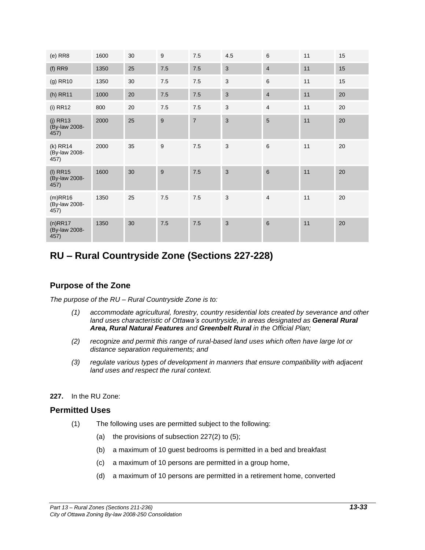| $(e)$ RR $8$                        | 1600 | 30 | 9   | 7.5            | 4.5                       | 6              | 11 | 15 |
|-------------------------------------|------|----|-----|----------------|---------------------------|----------------|----|----|
| $(f)$ RR9                           | 1350 | 25 | 7.5 | 7.5            | 3                         | $\overline{4}$ | 11 | 15 |
| $(g)$ RR10                          | 1350 | 30 | 7.5 | 7.5            | 3                         | $\,6\,$        | 11 | 15 |
| (h) RR11                            | 1000 | 20 | 7.5 | 7.5            | 3                         | $\overline{4}$ | 11 | 20 |
| $(i)$ RR12                          | 800  | 20 | 7.5 | 7.5            | 3                         | $\overline{4}$ | 11 | 20 |
| $(j)$ RR13<br>(By-law 2008-<br>457) | 2000 | 25 | 9   | $\overline{7}$ | 3                         | 5              | 11 | 20 |
| (k) RR14<br>(By-law 2008-<br>457)   | 2000 | 35 | 9   | $7.5$          | $\ensuremath{\mathsf{3}}$ | 6              | 11 | 20 |
| $(I)$ RR15<br>(By-law 2008-<br>457) | 1600 | 30 | 9   | 7.5            | $\mathbf{3}$              | 6              | 11 | 20 |
| (m)RR16<br>(By-law 2008-<br>457)    | 1350 | 25 | 7.5 | 7.5            | 3                         | 4              | 11 | 20 |
| $(n)$ RR17<br>(By-law 2008-<br>457) | 1350 | 30 | 7.5 | 7.5            | 3                         | $6\phantom{1}$ | 11 | 20 |

# **RU – Rural Countryside Zone (Sections 227-228)**

## **Purpose of the Zone**

*The purpose of the RU – Rural Countryside Zone is to:*

- *(1) accommodate agricultural, forestry, country residential lots created by severance and other land uses characteristic of Ottawa's countryside, in areas designated as General Rural Area, Rural Natural Features and Greenbelt Rural in the Official Plan;*
- *(2) recognize and permit this range of rural-based land uses which often have large lot or distance separation requirements; and*
- *(3) regulate various types of development in manners that ensure compatibility with adjacent land uses and respect the rural context.*

#### **227.** In the RU Zone:

#### **Permitted Uses**

- (1) The following uses are permitted subject to the following:
	- (a) the provisions of subsection  $227(2)$  to  $(5)$ ;
	- (b) a maximum of 10 guest bedrooms is permitted in a bed and breakfast
	- (c) a maximum of 10 persons are permitted in a group home,
	- (d) a maximum of 10 persons are permitted in a retirement home, converted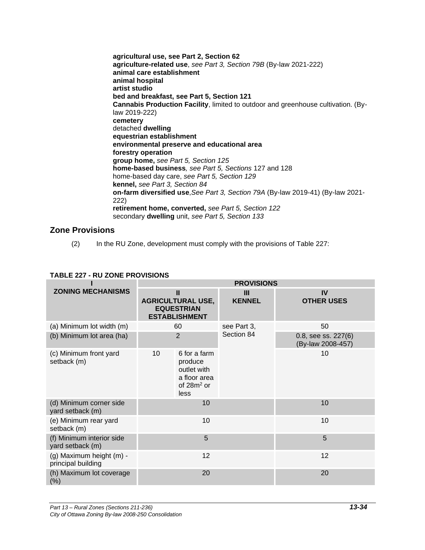**agricultural use, see Part 2, Section 62 agriculture-related use**, *see Part 3, Section 79B* (By-law 2021-222) **animal care establishment animal hospital artist studio bed and breakfast, see Part 5, Section 121 Cannabis Production Facility**, limited to outdoor and greenhouse cultivation. (Bylaw 2019-222) **cemetery** detached **dwelling equestrian establishment environmental preserve and educational area forestry operation group home,** *see Part 5, Section 125* **home-based business***, see Part 5, Sections* 127 and 128 home-based day care, *see Part 5, Section 129* **kennel,** *see Part 3, Section 84* **on-farm diversified use**,*See Part 3, Section 79A* (By-law 2019-41) (By-law 2021- 222) **retirement home, converted,** *see Part 5, Section 122* secondary **dwelling** unit, *see Part 5, Section 133*

## **Zone Provisions**

(2) In the RU Zone, development must comply with the provisions of Table 227:

## **TABLE 227 - RU ZONE PROVISIONS**

|                                                | <b>PROVISIONS</b>                                                                      |                                                                                 |                      |                                          |  |
|------------------------------------------------|----------------------------------------------------------------------------------------|---------------------------------------------------------------------------------|----------------------|------------------------------------------|--|
| <b>ZONING MECHANISMS</b>                       | $\mathbf{II}$<br><b>AGRICULTURAL USE,</b><br><b>EQUESTRIAN</b><br><b>ESTABLISHMENT</b> |                                                                                 | III<br><b>KENNEL</b> | IV<br><b>OTHER USES</b>                  |  |
| (a) Minimum lot width (m)                      |                                                                                        | 60                                                                              | see Part 3,          | 50                                       |  |
| (b) Minimum lot area (ha)                      |                                                                                        | $\overline{2}$                                                                  | Section 84           | 0.8, see ss. 227(6)<br>(By-law 2008-457) |  |
| (c) Minimum front yard<br>setback (m)          | 10                                                                                     | 6 for a farm<br>produce<br>outlet with<br>a floor area<br>of $28m^2$ or<br>less |                      | 10                                       |  |
| (d) Minimum corner side<br>yard setback (m)    |                                                                                        | 10                                                                              |                      | 10                                       |  |
| (e) Minimum rear yard<br>setback (m)           |                                                                                        | 10                                                                              |                      | 10                                       |  |
| (f) Minimum interior side<br>yard setback (m)  |                                                                                        | 5                                                                               |                      | 5                                        |  |
| (g) Maximum height (m) -<br>principal building |                                                                                        | 12                                                                              |                      | 12                                       |  |
| (h) Maximum lot coverage<br>$(\%)$             |                                                                                        | 20                                                                              |                      | 20                                       |  |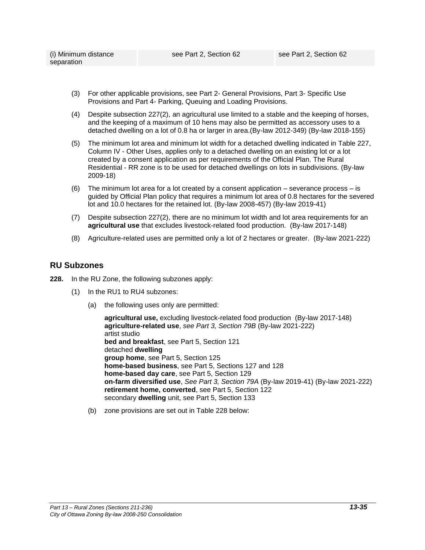- (3) For other applicable provisions, see Part 2- General Provisions, Part 3- Specific Use Provisions and Part 4- Parking, Queuing and Loading Provisions.
- (4) Despite subsection 227(2), an agricultural use limited to a stable and the keeping of horses, and the keeping of a maximum of 10 hens may also be permitted as accessory uses to a detached dwelling on a lot of 0.8 ha or larger in area.(By-law 2012-349) (By-law 2018-155)
- (5) The minimum lot area and minimum lot width for a detached dwelling indicated in Table 227, Column IV - Other Uses, applies only to a detached dwelling on an existing lot or a lot created by a consent application as per requirements of the Official Plan. The Rural Residential - RR zone is to be used for detached dwellings on lots in subdivisions. (By-law 2009-18)
- (6) The minimum lot area for a lot created by a consent application severance process is guided by Official Plan policy that requires a minimum lot area of 0.8 hectares for the severed lot and 10.0 hectares for the retained lot. (By-law 2008-457) (By-law 2019-41)
- (7) Despite subsection 227(2), there are no minimum lot width and lot area requirements for an **agricultural use** that excludes livestock-related food production. (By-law 2017-148)
- (8) Agriculture-related uses are permitted only a lot of 2 hectares or greater. (By-law 2021-222)

## **RU Subzones**

- **228.** In the RU Zone, the following subzones apply:
	- (1) In the RU1 to RU4 subzones:
		- (a) the following uses only are permitted:

**agricultural use,** excluding livestock-related food production (By-law 2017-148) **agriculture-related use**, *see Part 3, Section 79B* (By-law 2021-222) artist studio **bed and breakfast**, see Part 5, Section 121 detached **dwelling group home**, see Part 5, Section 125 **home-based business**, see Part 5, Sections 127 and 128 **home-based day care**, see Part 5, Section 129 **on-farm diversified use**, *See Part 3, Section 79A* (By-law 2019-41) (By-law 2021-222) **retirement home, converted**, see Part 5, Section 122 secondary **dwelling** unit, see Part 5, Section 133

(b) zone provisions are set out in Table 228 below: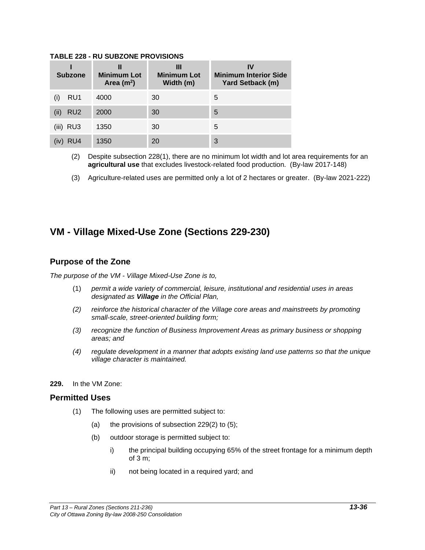#### **TABLE 228 - RU SUBZONE PROVISIONS**

| <b>Subzone</b>          | Ш<br><b>Minimum Lot</b><br>Area $(m2)$ | Ш<br><b>Minimum Lot</b><br>Width (m) | IV<br><b>Minimum Interior Side</b><br><b>Yard Setback (m)</b> |
|-------------------------|----------------------------------------|--------------------------------------|---------------------------------------------------------------|
| RU1                     | 4000                                   | 30                                   | 5                                                             |
| RU <sub>2</sub><br>(ii) | 2000                                   | 30                                   | 5                                                             |
| $(iii)$ RU3             | 1350                                   | 30                                   | 5                                                             |
| RU4                     | 1350                                   | 20                                   | 3                                                             |

(2) Despite subsection 228(1), there are no minimum lot width and lot area requirements for an **agricultural use** that excludes livestock-related food production. (By-law 2017-148)

(3) Agriculture-related uses are permitted only a lot of 2 hectares or greater. (By-law 2021-222)

# **VM - Village Mixed-Use Zone (Sections 229-230)**

## **Purpose of the Zone**

*The purpose of the VM - Village Mixed-Use Zone is to,*

- (1) *permit a wide variety of commercial, leisure, institutional and residential uses in areas designated as Village in the Official Plan,*
- *(2) reinforce the historical character of the Village core areas and mainstreets by promoting small-scale, street-oriented building form;*
- *(3) recognize the function of Business Improvement Areas as primary business or shopping areas; and*
- *(4) regulate development in a manner that adopts existing land use patterns so that the unique village character is maintained.*
- **229.** In the VM Zone:

## **Permitted Uses**

- (1) The following uses are permitted subject to:
	- (a) the provisions of subsection 229(2) to (5);
	- (b) outdoor storage is permitted subject to:
		- i) the principal building occupying 65% of the street frontage for a minimum depth of 3 m;
		- ii) not being located in a required yard; and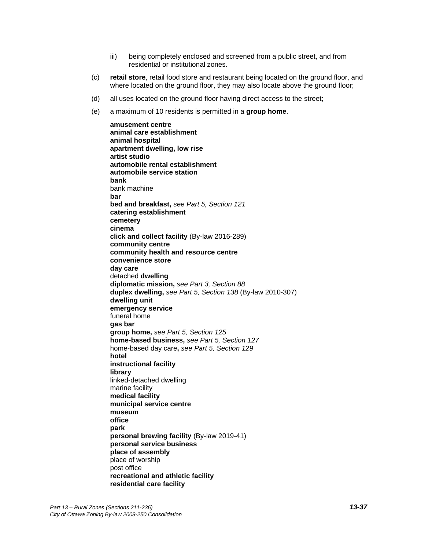- iii) being completely enclosed and screened from a public street, and from residential or institutional zones.
- (c) **retail store**, retail food store and restaurant being located on the ground floor, and where located on the ground floor, they may also locate above the ground floor;
- (d) all uses located on the ground floor having direct access to the street;
- (e) a maximum of 10 residents is permitted in a **group home**.

**amusement centre animal care establishment animal hospital apartment dwelling, low rise artist studio automobile rental establishment automobile service station bank** bank machine **bar bed and breakfast,** *see Part 5, Section 121* **catering establishment cemetery cinema click and collect facility** (By-law 2016-289) **community centre community health and resource centre convenience store day care** detached **dwelling diplomatic mission,** *see Part 3, Section 88* **duplex dwelling,** *see Part 5, Section 138* (By-law 2010-307) **dwelling unit emergency service** funeral home **gas bar group home,** *see Part 5, Section 125* **home-based business,** *see Part 5, Section 127* home-based day care**,** *see Part 5, Section 129* **hotel instructional facility library** linked-detached dwelling marine facility **medical facility municipal service centre museum office park personal brewing facility** (By-law 2019-41) **personal service business place of assembly** place of worship post office **recreational and athletic facility residential care facility**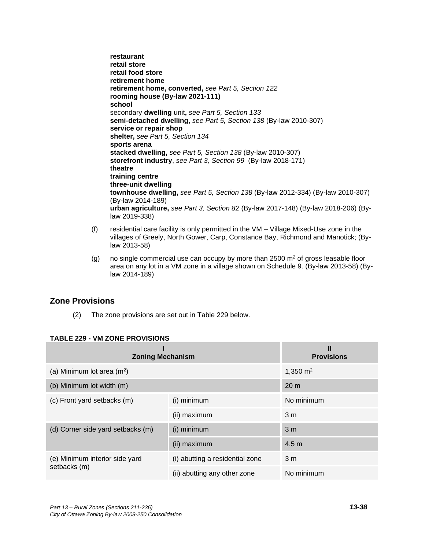**restaurant retail store retail food store retirement home retirement home, converted,** *see Part 5, Section 122* **rooming house (By-law 2021-111) school**  secondary **dwelling** unit**,** *see Part 5, Section 133* **semi-detached dwelling,** *see Part 5, Section 138* (By-law 2010-307) **service or repair shop shelter,** *see Part 5, Section 134* **sports arena stacked dwelling,** *see Part 5, Section 138* (By-law 2010-307) **storefront industry**, *see Part 3, Section 99* (By-law 2018-171) **theatre training centre three-unit dwelling townhouse dwelling,** *see Part 5, Section 138* (By-law 2012-334) (By-law 2010-307) (By-law 2014-189) **urban agriculture,** *see Part 3, Section 82* (By-law 2017-148) (By-law 2018-206) (Bylaw 2019-338)

- (f) residential care facility is only permitted in the VM Village Mixed-Use zone in the villages of Greely, North Gower, Carp, Constance Bay, Richmond and Manotick; (Bylaw 2013-58)
- (g) no single commercial use can occupy by more than  $2500 \text{ m}^2$  of gross leasable floor area on any lot in a VM zone in a village shown on Schedule 9. (By-law 2013-58) (Bylaw 2014-189)

## **Zone Provisions**

(2) The zone provisions are set out in Table 229 below.

| <b>Zoning Mechanism</b>           |                                 | Ш<br><b>Provisions</b> |
|-----------------------------------|---------------------------------|------------------------|
| (a) Minimum lot area $(m^2)$      | 1,350 $m2$                      |                        |
| (b) Minimum lot width (m)         |                                 | 20 <sub>m</sub>        |
| (c) Front yard setbacks (m)       | (i) minimum                     | No minimum             |
|                                   | (ii) maximum                    | 3 <sub>m</sub>         |
| (d) Corner side yard setbacks (m) | (i) minimum                     | 3 <sub>m</sub>         |
|                                   | (ii) maximum                    | 4.5 <sub>m</sub>       |
| (e) Minimum interior side yard    | (i) abutting a residential zone | 3 <sub>m</sub>         |
| setbacks (m)                      | (ii) abutting any other zone    | No minimum             |

## **TABLE 229 - VM ZONE PROVISIONS**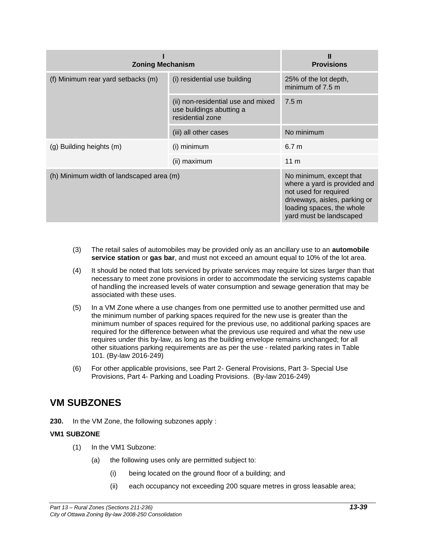| <b>Zoning Mechanism</b>                  | <b>Provisions</b>                                                                  |                                                                                                                                                                           |
|------------------------------------------|------------------------------------------------------------------------------------|---------------------------------------------------------------------------------------------------------------------------------------------------------------------------|
| (f) Minimum rear yard setbacks (m)       | (i) residential use building                                                       | 25% of the lot depth,<br>minimum of 7.5 m                                                                                                                                 |
|                                          | (ii) non-residential use and mixed<br>use buildings abutting a<br>residential zone | 7.5 <sub>m</sub>                                                                                                                                                          |
|                                          | (iii) all other cases                                                              | No minimum                                                                                                                                                                |
| (g) Building heights (m)                 | (i) minimum                                                                        | 6.7 <sub>m</sub>                                                                                                                                                          |
|                                          | (ii) maximum                                                                       | 11 <sub>m</sub>                                                                                                                                                           |
| (h) Minimum width of landscaped area (m) |                                                                                    | No minimum, except that<br>where a yard is provided and<br>not used for required<br>driveways, aisles, parking or<br>loading spaces, the whole<br>yard must be landscaped |

- (3) The retail sales of automobiles may be provided only as an ancillary use to an **automobile service station** or **gas bar**, and must not exceed an amount equal to 10% of the lot area.
- (4) It should be noted that lots serviced by private services may require lot sizes larger than that necessary to meet zone provisions in order to accommodate the servicing systems capable of handling the increased levels of water consumption and sewage generation that may be associated with these uses.
- (5) In a VM Zone where a use changes from one permitted use to another permitted use and the minimum number of parking spaces required for the new use is greater than the minimum number of spaces required for the previous use, no additional parking spaces are required for the difference between what the previous use required and what the new use requires under this by-law, as long as the building envelope remains unchanged; for all other situations parking requirements are as per the use - related parking rates in Table 101. (By-law 2016-249)
- (6) For other applicable provisions, see Part 2- General Provisions, Part 3- Special Use Provisions, Part 4- Parking and Loading Provisions. (By-law 2016-249)

## **VM SUBZONES**

**230.** In the VM Zone, the following subzones apply :

#### **VM1 SUBZONE**

- (1) In the VM1 Subzone:
	- (a) the following uses only are permitted subject to:
		- (i) being located on the ground floor of a building; and
		- (ii) each occupancy not exceeding 200 square metres in gross leasable area;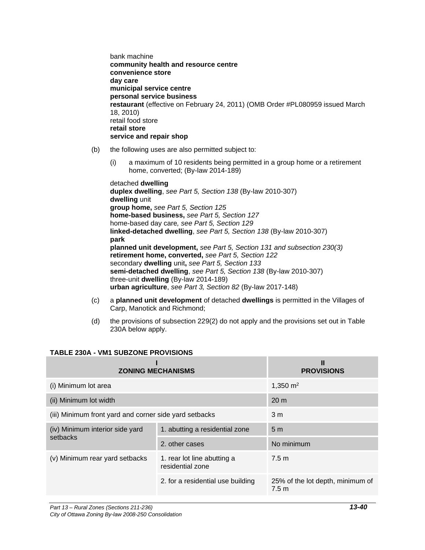bank machine **community health and resource centre convenience store day care municipal service centre personal service business restaurant** (effective on February 24, 2011) (OMB Order #PL080959 issued March 18, 2010) retail food store **retail store service and repair shop** 

- (b) the following uses are also permitted subject to:
	- (i) a maximum of 10 residents being permitted in a group home or a retirement home, converted; (By-law 2014-189)

detached **dwelling duplex dwelling**, *see Part 5, Section 138* (By-law 2010-307) **dwelling** unit **group home,** *see Part 5, Section 125* **home-based business,** *see Part 5, Section 127* home-based day care*, see Part 5, Section 129* **linked-detached dwelling**, *see Part 5, Section 138* (By-law 2010-307) **park planned unit development,** *see Part 5, Section 131 and subsection 230(3)* **retirement home, converted,** *see Part 5, Section 122* secondary **dwelling** unit**,** *see Part 5, Section 133*  **semi-detached dwelling**, *see Part 5, Section 138* (By-law 2010-307) three-unit **dwelling** (By-law 2014-189) **urban agriculture**, *see Part 3, Section 82* (By-law 2017-148)

- (c) a **planned unit development** of detached **dwellings** is permitted in the Villages of Carp, Manotick and Richmond;
- (d) the provisions of subsection 229(2) do not apply and the provisions set out in Table 230A below apply.

| <b>ZONING MECHANISMS</b>                               | <b>PROVISIONS</b>                               |                                           |
|--------------------------------------------------------|-------------------------------------------------|-------------------------------------------|
| (i) Minimum lot area                                   | 1,350 $m2$                                      |                                           |
| (ii) Minimum lot width                                 | 20 <sub>m</sub>                                 |                                           |
| (iii) Minimum front yard and corner side yard setbacks | 3 <sub>m</sub>                                  |                                           |
| (iv) Minimum interior side yard                        | 1. abutting a residential zone                  | 5 <sub>m</sub>                            |
| setbacks                                               | 2. other cases                                  | No minimum                                |
| (v) Minimum rear yard setbacks                         | 1. rear lot line abutting a<br>residential zone | 7.5 <sub>m</sub>                          |
|                                                        | 2. for a residential use building               | 25% of the lot depth, minimum of<br>7.5 m |

## **TABLE 230A - VM1 SUBZONE PROVISIONS**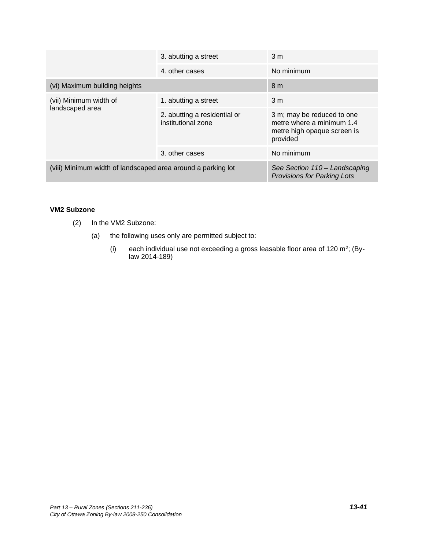|                                                              | 3. abutting a street                                                | 3 <sub>m</sub>                                                                                     |
|--------------------------------------------------------------|---------------------------------------------------------------------|----------------------------------------------------------------------------------------------------|
|                                                              | 4 other cases                                                       | No minimum                                                                                         |
| (vi) Maximum building heights                                | 8 <sub>m</sub>                                                      |                                                                                                    |
| (vii) Minimum width of<br>landscaped area                    | 1. abutting a street                                                | 3 <sub>m</sub>                                                                                     |
|                                                              | 2. abutting a residential or<br>institutional zone                  | 3 m; may be reduced to one<br>metre where a minimum 1.4<br>metre high opaque screen is<br>provided |
|                                                              | 3. other cases                                                      | No minimum                                                                                         |
| (viii) Minimum width of landscaped area around a parking lot | See Section 110 - Landscaping<br><b>Provisions for Parking Lots</b> |                                                                                                    |

#### **VM2 Subzone**

- (2) In the VM2 Subzone:
	- (a) the following uses only are permitted subject to:
		- (i) each individual use not exceeding a gross leasable floor area of 120  $m^2$ ; (Bylaw 2014-189)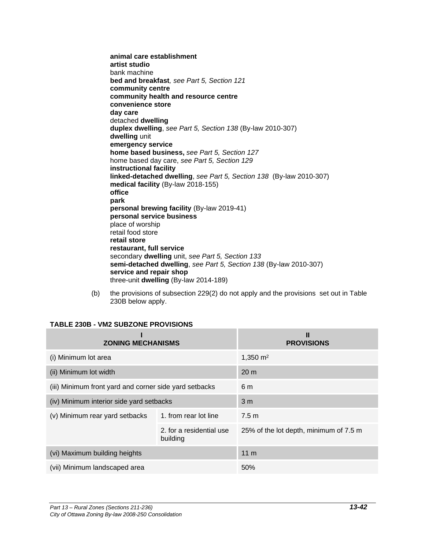**animal care establishment artist studio** bank machine **bed and breakfast***, see Part 5, Section 121* **community centre community health and resource centre convenience store day care** detached **dwelling duplex dwelling**, *see Part 5, Section 138* (By-law 2010-307) **dwelling** unit **emergency service home based business,** *see Part 5, Section 127* home based day care, *see Part 5, Section 129* **instructional facility linked-detached dwelling**, *see Part 5, Section 138* (By-law 2010-307) **medical facility** (By-law 2018-155) **office park personal brewing facility** (By-law 2019-41) **personal service business** place of worship retail food store **retail store restaurant, full service** secondary **dwelling** unit, *see Part 5, Section 133* **semi-detached dwelling**, *see Part 5, Section 138* (By-law 2010-307) **service and repair shop** three-unit **dwelling** (By-law 2014-189)

(b) the provisions of subsection 229(2) do not apply and the provisions set out in Table 230B below apply.

| <b>ZONING MECHANISMS</b>                               | Ш<br><b>PROVISIONS</b>               |                                        |
|--------------------------------------------------------|--------------------------------------|----------------------------------------|
| (i) Minimum lot area                                   | 1,350 $m2$                           |                                        |
| (ii) Minimum lot width                                 | 20 <sub>m</sub>                      |                                        |
| (iii) Minimum front yard and corner side yard setbacks | 6 m                                  |                                        |
| (iv) Minimum interior side yard setbacks               | 3 <sub>m</sub>                       |                                        |
| (v) Minimum rear yard setbacks                         | 1. from rear lot line                | 7.5 <sub>m</sub>                       |
|                                                        | 2. for a residential use<br>building | 25% of the lot depth, minimum of 7.5 m |
| (vi) Maximum building heights                          | 11 <sub>m</sub>                      |                                        |
| (vii) Minimum landscaped area                          |                                      | 50%                                    |

#### **TABLE 230B - VM2 SUBZONE PROVISIONS**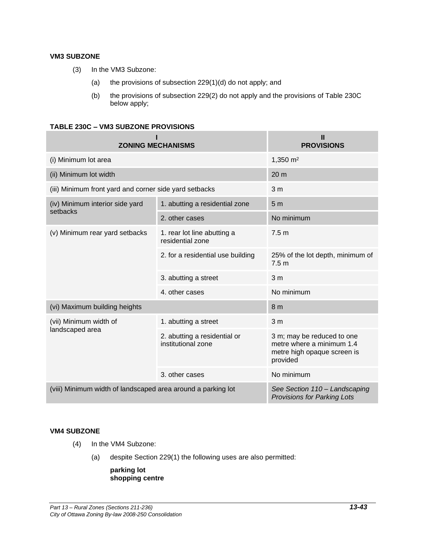#### **VM3 SUBZONE**

- (3) In the VM3 Subzone:
	- (a) the provisions of subsection 229(1)(d) do not apply; and
	- (b) the provisions of subsection 229(2) do not apply and the provisions of Table 230C below apply;

#### **TABLE 230C – VM3 SUBZONE PROVISIONS**

| <b>ZONING MECHANISMS</b>                                     | Ш<br><b>PROVISIONS</b>                             |                                                                                                    |  |  |  |
|--------------------------------------------------------------|----------------------------------------------------|----------------------------------------------------------------------------------------------------|--|--|--|
| (i) Minimum lot area                                         |                                                    | 1,350 $m2$                                                                                         |  |  |  |
| (ii) Minimum lot width                                       | 20 <sub>m</sub>                                    |                                                                                                    |  |  |  |
| (iii) Minimum front yard and corner side yard setbacks       | 3 <sub>m</sub>                                     |                                                                                                    |  |  |  |
| (iv) Minimum interior side yard<br>setbacks                  | 1. abutting a residential zone                     | 5 <sub>m</sub>                                                                                     |  |  |  |
|                                                              | 2. other cases                                     | No minimum                                                                                         |  |  |  |
| (v) Minimum rear yard setbacks                               | 1. rear lot line abutting a<br>residential zone    | 7.5 <sub>m</sub>                                                                                   |  |  |  |
|                                                              | 2. for a residential use building                  | 25% of the lot depth, minimum of<br>7.5 <sub>m</sub>                                               |  |  |  |
|                                                              | 3. abutting a street                               | 3 <sub>m</sub>                                                                                     |  |  |  |
|                                                              | 4. other cases                                     | No minimum                                                                                         |  |  |  |
| (vi) Maximum building heights                                |                                                    | 8 <sub>m</sub>                                                                                     |  |  |  |
| (vii) Minimum width of                                       | 1. abutting a street                               | 3 <sub>m</sub>                                                                                     |  |  |  |
| landscaped area                                              | 2. abutting a residential or<br>institutional zone | 3 m; may be reduced to one<br>metre where a minimum 1.4<br>metre high opaque screen is<br>provided |  |  |  |
|                                                              | 3. other cases                                     | No minimum                                                                                         |  |  |  |
| (viii) Minimum width of landscaped area around a parking lot |                                                    | See Section 110 - Landscaping<br><b>Provisions for Parking Lots</b>                                |  |  |  |

#### **VM4 SUBZONE**

- (4) In the VM4 Subzone:
	- (a) despite Section 229(1) the following uses are also permitted:

#### **parking lot shopping centre**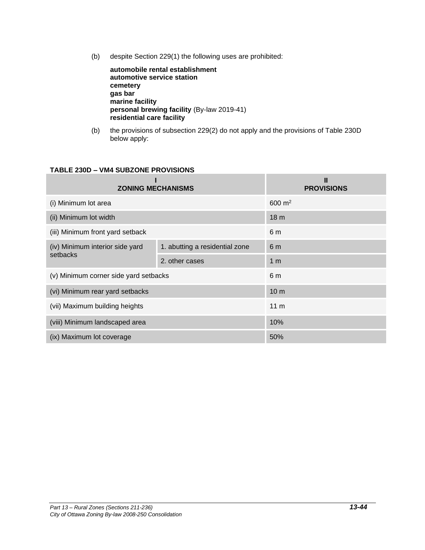(b) despite Section 229(1) the following uses are prohibited:

**automobile rental establishment automotive service station cemetery gas bar marine facility personal brewing facility** (By-law 2019-41) **residential care facility**

(b) the provisions of subsection 229(2) do not apply and the provisions of Table 230D below apply:

## **TABLE 230D – VM4 SUBZONE PROVISIONS**

| <b>ZONING MECHANISMS</b>                    | <b>PROVISIONS</b>              |                 |  |  |
|---------------------------------------------|--------------------------------|-----------------|--|--|
| (i) Minimum lot area                        | $600 \; \text{m}^2$            |                 |  |  |
| (ii) Minimum lot width                      | 18 <sub>m</sub>                |                 |  |  |
| (iii) Minimum front yard setback            | 6 m                            |                 |  |  |
| (iv) Minimum interior side yard<br>setbacks | 1. abutting a residential zone | 6 <sub>m</sub>  |  |  |
|                                             | 2. other cases                 | 1 <sub>m</sub>  |  |  |
| (v) Minimum corner side yard setbacks       |                                | 6 m             |  |  |
| (vi) Minimum rear yard setbacks             |                                | 10 <sub>m</sub> |  |  |
| (vii) Maximum building heights              | 11 <sub>m</sub>                |                 |  |  |
| (viii) Minimum landscaped area              |                                | 10%             |  |  |
| (ix) Maximum lot coverage                   |                                | 50%             |  |  |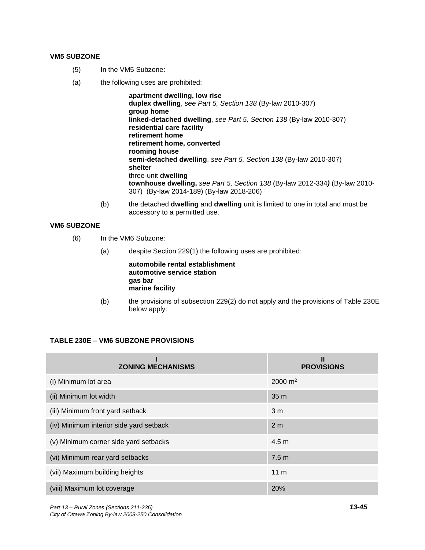#### **VM5 SUBZONE**

- (5) In the VM5 Subzone:
- (a) the following uses are prohibited:

**apartment dwelling, low rise duplex dwelling**, *see Part 5, Section 138* (By-law 2010-307) **group home linked-detached dwelling**, *see Part 5, Section 138* (By-law 2010-307) **residential care facility retirement home retirement home, converted rooming house semi-detached dwelling**, *see Part 5, Section 138* (By-law 2010-307) **shelter** three-unit **dwelling townhouse dwelling,** *see Part 5, Section 138* (By-law 2012-334*)* (By-law 2010- 307) (By-law 2014-189) (By-law 2018-206)

(b) the detached **dwelling** and **dwelling** unit is limited to one in total and must be accessory to a permitted use.

#### **VM6 SUBZONE**

- (6) In the VM6 Subzone:
	- (a) despite Section 229(1) the following uses are prohibited:

**automobile rental establishment automotive service station gas bar marine facility**

(b) the provisions of subsection 229(2) do not apply and the provisions of Table 230E below apply:

#### **TABLE 230E – VM6 SUBZONE PROVISIONS**

| <b>ZONING MECHANISMS</b>                | Ш<br><b>PROVISIONS</b> |
|-----------------------------------------|------------------------|
| (i) Minimum lot area                    | $2000 \text{ m}^2$     |
| (ii) Minimum lot width                  | 35 m                   |
| (iii) Minimum front yard setback        | 3 <sub>m</sub>         |
| (iv) Minimum interior side yard setback | 2 <sub>m</sub>         |
| (v) Minimum corner side yard setbacks   | 4.5 <sub>m</sub>       |
| (vi) Minimum rear yard setbacks         | 7.5 <sub>m</sub>       |
| (vii) Maximum building heights          | 11 <sub>m</sub>        |
| (viii) Maximum lot coverage             | 20%                    |

*Part 13 – Rural Zones (Sections 211-236) 13-45 City of Ottawa Zoning By-law 2008-250 Consolidation*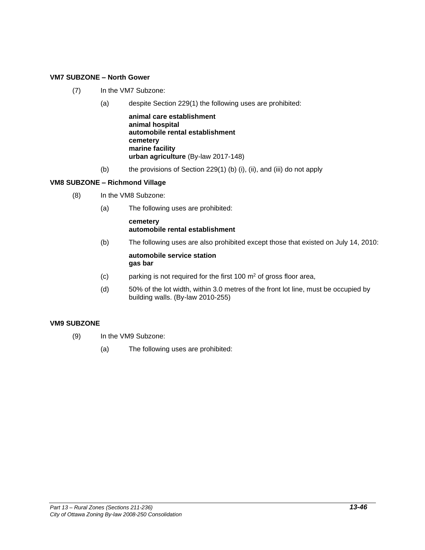#### **VM7 SUBZONE – North Gower**

- (7) In the VM7 Subzone:
	- (a) despite Section 229(1) the following uses are prohibited:

**animal care establishment animal hospital automobile rental establishment cemetery marine facility urban agriculture** (By-law 2017-148)

(b) the provisions of Section 229(1) (b) (i), (ii), and (iii) do not apply

#### **VM8 SUBZONE – Richmond Village**

- (8) In the VM8 Subzone:
	- (a) The following uses are prohibited:

#### **cemetery automobile rental establishment**

- (b) The following uses are also prohibited except those that existed on July 14, 2010: **automobile service station gas bar**
- (c) parking is not required for the first 100  $\mathrm{m}^2$  of gross floor area,
- (d) 50% of the lot width, within 3.0 metres of the front lot line, must be occupied by building walls. (By-law 2010-255)

#### **VM9 SUBZONE**

- (9) In the VM9 Subzone:
	- (a) The following uses are prohibited: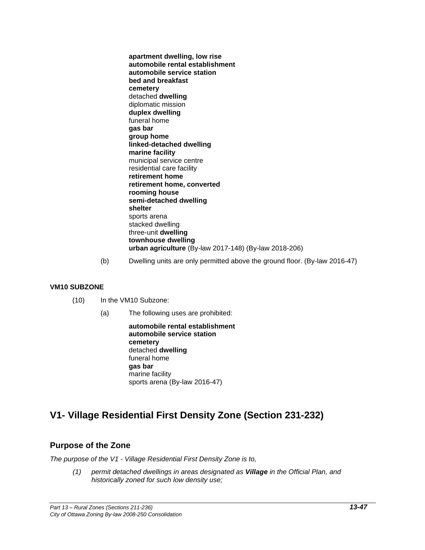**apartment dwelling, low rise automobile rental establishment automobile service station bed and breakfast cemetery** detached **dwelling** diplomatic mission **duplex dwelling** funeral home **gas bar group home linked-detached dwelling marine facility** municipal service centre residential care facility **retirement home retirement home, converted rooming house semi-detached dwelling shelter** sports arena stacked dwelling three-unit **dwelling townhouse dwelling urban agriculture** (By-law 2017-148) (By-law 2018-206)

(b) Dwelling units are only permitted above the ground floor. (By-law 2016-47)

#### **VM10 SUBZONE**

- (10) In the VM10 Subzone:
	- (a) The following uses are prohibited:

**automobile rental establishment automobile service station cemetery** detached **dwelling** funeral home **gas bar** marine facility sports arena (By-law 2016-47)

# **V1- Village Residential First Density Zone (Section 231-232)**

## **Purpose of the Zone**

*The purpose of the V1 - Village Residential First Density Zone is to,*

*(1) permit detached dwellings in areas designated as Village in the Official Plan, and historically zoned for such low density use;*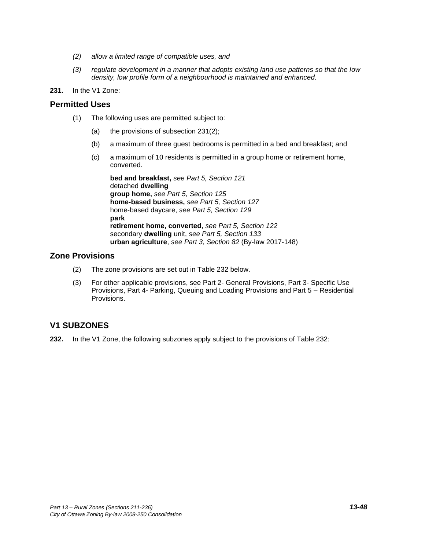- *(2) allow a limited range of compatible uses, and*
- *(3) regulate development in a manner that adopts existing land use patterns so that the low density, low profile form of a neighbourhood is maintained and enhanced.*
- **231.** In the V1 Zone:

#### **Permitted Uses**

- (1) The following uses are permitted subject to:
	- (a) the provisions of subsection 231(2);
	- (b) a maximum of three guest bedrooms is permitted in a bed and breakfast; and
	- (c) a maximum of 10 residents is permitted in a group home or retirement home, converted.

**bed and breakfast,** *see Part 5, Section 121* detached **dwelling group home,** *see Part 5, Section 125* **home-based business,** *see Part 5, Section 127* home-based daycare, *see Part 5, Section 129* **park retirement home, converted**, *see Part 5, Section 122* secondary **dwelling** unit, *see Part 5, Section 133* **urban agriculture**, *see Part 3, Section 82* (By-law 2017-148)

## **Zone Provisions**

- (2) The zone provisions are set out in Table 232 below.
- (3) For other applicable provisions, see Part 2- General Provisions, Part 3- Specific Use Provisions, Part 4- Parking, Queuing and Loading Provisions and Part 5 – Residential Provisions.

## **V1 SUBZONES**

**232.** In the V1 Zone, the following subzones apply subject to the provisions of Table 232: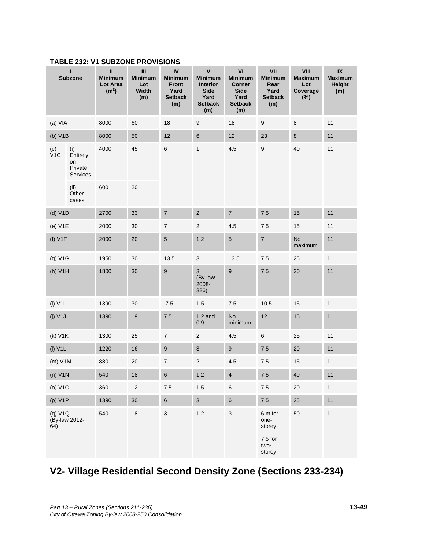|                                            | п<br><b>Subzone</b>                          | Ш<br><b>Minimum</b><br>Lot Area<br>(m <sup>2</sup> ) | $\ensuremath{\mathsf{III}}\xspace$<br><b>Minimum</b><br>Lot<br>Width<br>(m) | IV<br><b>Minimum</b><br><b>Front</b><br>Yard<br><b>Setback</b><br>(m) | $\pmb{\mathsf{V}}$<br><b>Minimum</b><br><b>Interior</b><br><b>Side</b><br>Yard<br><b>Setback</b><br>(m) | VI<br><b>Minimum</b><br>Corner<br><b>Side</b><br>Yard<br><b>Setback</b><br>(m) | VII<br><b>Minimum</b><br>Rear<br>Yard<br><b>Setback</b><br>(m) | VIII<br><b>Maximum</b><br>Lot<br>Coverage<br>$(\%)$ | $\mathsf{IX}$<br><b>Maximum</b><br><b>Height</b><br>(m) |
|--------------------------------------------|----------------------------------------------|------------------------------------------------------|-----------------------------------------------------------------------------|-----------------------------------------------------------------------|---------------------------------------------------------------------------------------------------------|--------------------------------------------------------------------------------|----------------------------------------------------------------|-----------------------------------------------------|---------------------------------------------------------|
| (a) VIA                                    |                                              | 8000                                                 | 60                                                                          | 18                                                                    | $\boldsymbol{9}$                                                                                        | 18                                                                             | $\boldsymbol{9}$                                               | $\bf 8$                                             | 11                                                      |
| (b) V1B                                    |                                              | 8000                                                 | 50                                                                          | 12                                                                    | $\,6\,$                                                                                                 | 12                                                                             | 23                                                             | 8                                                   | 11                                                      |
| $( c )$<br>$V1C$                           | (i)<br>Entirely<br>on<br>Private<br>Services | 4000                                                 | 45                                                                          | $\,6$                                                                 | $\mathbf{1}$                                                                                            | 4.5                                                                            | $\boldsymbol{9}$                                               | 40                                                  | 11                                                      |
|                                            | (ii)<br>Other<br>cases                       | 600                                                  | 20                                                                          |                                                                       |                                                                                                         |                                                                                |                                                                |                                                     |                                                         |
| (d) V1D                                    |                                              | 2700                                                 | 33                                                                          | $\overline{\mathbf{7}}$                                               | $\mathbf 2$                                                                                             | $\overline{\mathcal{I}}$                                                       | 7.5                                                            | 15                                                  | 11                                                      |
| (e) V1E                                    |                                              | 2000                                                 | 30                                                                          | $\boldsymbol{7}$                                                      | $\overline{\mathbf{c}}$                                                                                 | $4.5\,$                                                                        | $7.5\,$                                                        | 15                                                  | 11                                                      |
| (f) V1F                                    |                                              | 2000                                                 | 20                                                                          | $\sqrt{5}$                                                            | $1.2$                                                                                                   | $\,$ 5 $\,$                                                                    | $\overline{\mathbf{7}}$                                        | <b>No</b><br>maximum                                | 11                                                      |
| (g) V1G                                    |                                              | 1950                                                 | 30                                                                          | 13.5                                                                  | $\ensuremath{\mathsf{3}}$                                                                               | 13.5                                                                           | 7.5                                                            | 25                                                  | 11                                                      |
| (h) V1H                                    |                                              | 1800                                                 | 30                                                                          | 9                                                                     | $\ensuremath{\mathsf{3}}$<br>(By-law<br>2008-<br>326)                                                   | $\boldsymbol{9}$                                                               | 7.5                                                            | 20                                                  | 11                                                      |
| $(i)$ V1I                                  |                                              | 1390                                                 | 30                                                                          | $7.5$                                                                 | $1.5\,$                                                                                                 | $7.5$                                                                          | 10.5                                                           | 15                                                  | 11                                                      |
| $(j)$ V1J                                  |                                              | 1390                                                 | 19                                                                          | 7.5                                                                   | $1.2$ and<br>0.9                                                                                        | <b>No</b><br>minimum                                                           | 12<br>15                                                       |                                                     | 11                                                      |
| (k) V1K                                    |                                              | 1300                                                 | 25                                                                          | $\boldsymbol{7}$                                                      | $\overline{2}$                                                                                          | 4.5                                                                            | 6                                                              | 25                                                  | 11                                                      |
| $(I)$ V1L                                  |                                              | 1220                                                 | $16\,$                                                                      | $\boldsymbol{9}$                                                      | $\ensuremath{\mathsf{3}}$                                                                               | $\boldsymbol{9}$                                                               | $7.5\,$                                                        | $20\,$                                              | $11$                                                    |
| $(m)$ V1M                                  |                                              | 880                                                  | 20                                                                          | $\boldsymbol{7}$                                                      | $\overline{\mathbf{c}}$                                                                                 | $4.5\,$                                                                        | $7.5\,$                                                        | 15                                                  | $11$                                                    |
| $(n)$ V1N                                  |                                              | 540                                                  | 18                                                                          | $\,6$                                                                 | 1.2                                                                                                     | $\overline{\mathbf{4}}$                                                        | $7.5\,$                                                        | 40                                                  | $11$                                                    |
| (o) V1O                                    |                                              | 360                                                  | 12                                                                          | 7.5                                                                   | 1.5                                                                                                     | $\,6$                                                                          | 7.5                                                            | 20                                                  | 11                                                      |
|                                            |                                              | 1390                                                 | 30 <sub>o</sub>                                                             | $\,6\,$                                                               | $\mathbf{3}$                                                                                            | $\, 6$                                                                         | $7.5\,$                                                        | 25                                                  | 11                                                      |
| (p) V1P<br>(q) V1Q<br>(By-law 2012-<br>64) |                                              | 540                                                  | $18$                                                                        | $\ensuremath{\mathsf{3}}$                                             | $1.2$                                                                                                   | $\ensuremath{\mathsf{3}}$                                                      | 6 m for<br>one-<br>storey<br>$7.5$ for<br>two-<br>storey       | 50                                                  | $11$                                                    |

## **TABLE 232: V1 SUBZONE PROVISIONS**

# **V2- Village Residential Second Density Zone (Sections 233-234)**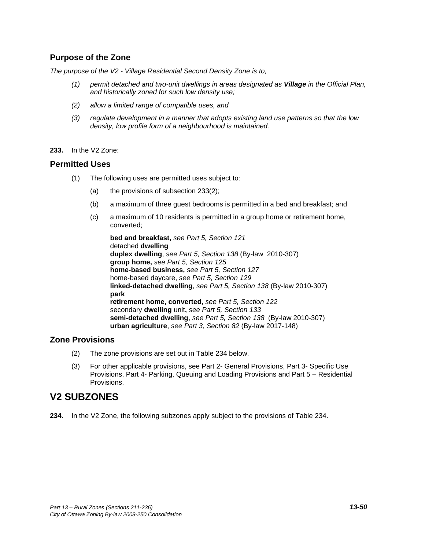## **Purpose of the Zone**

*The purpose of the V2 - Village Residential Second Density Zone is to,*

- *(1) permit detached and two-unit dwellings in areas designated as Village in the Official Plan, and historically zoned for such low density use;*
- *(2) allow a limited range of compatible uses, and*
- *(3) regulate development in a manner that adopts existing land use patterns so that the low density, low profile form of a neighbourhood is maintained.*
- **233.** In the V2 Zone:

#### **Permitted Uses**

- (1) The following uses are permitted uses subject to:
	- (a) the provisions of subsection 233(2);
	- (b) a maximum of three guest bedrooms is permitted in a bed and breakfast; and
	- (c) a maximum of 10 residents is permitted in a group home or retirement home, converted;

**bed and breakfast,** *see Part 5, Section 121* detached **dwelling duplex dwelling**, *see Part 5, Section 138* (By-law 2010-307) **group home,** *see Part 5, Section 125* **home-based business,** *see Part 5, Section 127* home-based daycare, *see Part 5, Section 129* **linked-detached dwelling**, *see Part 5, Section 138* (By-law 2010-307) **park retirement home, converted**, *see Part 5, Section 122* secondary **dwelling** unit**,** *see Part 5, Section 133*  **semi-detached dwelling**, *see Part 5, Section 138* (By-law 2010-307) **urban agriculture**, *see Part 3, Section 82* (By-law 2017-148)

## **Zone Provisions**

- (2) The zone provisions are set out in Table 234 below.
- (3) For other applicable provisions, see Part 2- General Provisions, Part 3- Specific Use Provisions, Part 4- Parking, Queuing and Loading Provisions and Part 5 – Residential Provisions.

## **V2 SUBZONES**

**234.** In the V2 Zone, the following subzones apply subject to the provisions of Table 234.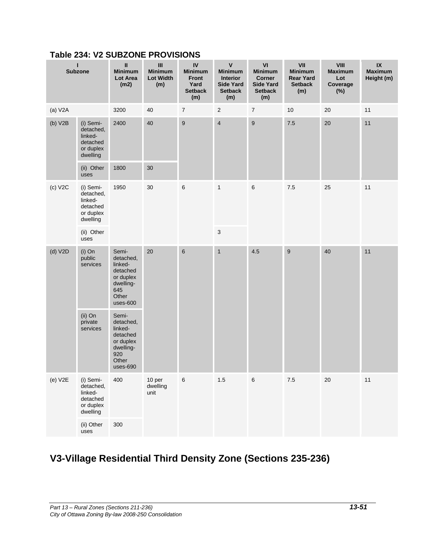| L<br><b>Subzone</b> |                                                                                | $\sf II$<br><b>Minimum</b><br><b>Lot Area</b><br>(m2)                                             | $\mathbf{III}$<br><b>Minimum</b><br><b>Lot Width</b><br>(m) | IV<br><b>Minimum</b><br>Front<br>Yard<br><b>Setback</b><br>(m) | $\pmb{\mathsf{V}}$<br><b>Minimum</b><br>Interior<br><b>Side Yard</b><br><b>Setback</b><br>(m) | VI<br><b>Minimum</b><br><b>Corner</b><br><b>Side Yard</b><br><b>Setback</b><br>(m) | VII<br><b>Minimum</b><br><b>Rear Yard</b><br><b>Setback</b><br>(m) | VIII<br><b>Maximum</b><br>Lot<br>Coverage<br>$(\%)$ | $\ensuremath{\mathsf{IX}}\xspace$<br><b>Maximum</b><br>Height (m) |
|---------------------|--------------------------------------------------------------------------------|---------------------------------------------------------------------------------------------------|-------------------------------------------------------------|----------------------------------------------------------------|-----------------------------------------------------------------------------------------------|------------------------------------------------------------------------------------|--------------------------------------------------------------------|-----------------------------------------------------|-------------------------------------------------------------------|
| (a) V2A             |                                                                                | 3200                                                                                              | 40                                                          | $\boldsymbol{7}$                                               | $\sqrt{2}$                                                                                    | $\boldsymbol{7}$                                                                   | 10                                                                 | 20                                                  | 11                                                                |
| (b) V2B             | (i) Semi-<br>detached,<br>linked-<br>detached<br>or duplex<br>dwelling         | 2400                                                                                              | 40                                                          | 9                                                              | $\overline{\mathbf{4}}$                                                                       | $\boldsymbol{9}$                                                                   | $7.5\,$                                                            | 20                                                  | 11                                                                |
|                     | (ii) Other<br>uses                                                             | 1800                                                                                              | 30                                                          |                                                                |                                                                                               |                                                                                    |                                                                    |                                                     |                                                                   |
| (c) V2C             | 1950<br>(i) Semi-<br>detached,<br>linked-<br>detached<br>or duplex<br>dwelling |                                                                                                   | 30                                                          | $\,6$                                                          | $\mathbf{1}$                                                                                  | $\,6\,$                                                                            | 7.5                                                                | 25                                                  | 11                                                                |
|                     | (ii) Other<br>uses                                                             |                                                                                                   |                                                             |                                                                | $\sqrt{3}$                                                                                    |                                                                                    |                                                                    |                                                     |                                                                   |
| (d) V2D             | $(i)$ On<br>public<br>services                                                 | Semi-<br>detached,<br>linked-<br>detached<br>or duplex<br>dwelling-<br>645<br>Other<br>$uses-600$ | 20                                                          | $6\phantom{1}$                                                 | $\mathbf{1}$                                                                                  | 4.5                                                                                | $\boldsymbol{9}$                                                   | 40                                                  | 11                                                                |
|                     | (ii) On<br>private<br>services                                                 | Semi-<br>detached,<br>linked-<br>detached<br>or duplex<br>dwelling-<br>920<br>Other<br>uses-690   |                                                             |                                                                |                                                                                               |                                                                                    |                                                                    |                                                     |                                                                   |
| $(e)$ V2E           | (i) Semi-<br>detached,<br>linked-<br>detached<br>or duplex<br>dwelling         | 400                                                                                               | 10 per<br>dwelling<br>unit                                  | 6                                                              | $1.5$                                                                                         | $\,6$                                                                              | $7.5$                                                              | $20\,$                                              | 11                                                                |
|                     | (ii) Other<br>uses                                                             | 300                                                                                               |                                                             |                                                                |                                                                                               |                                                                                    |                                                                    |                                                     |                                                                   |

# **Table 234: V2 SUBZONE PROVISIONS**

# **V3-Village Residential Third Density Zone (Sections 235-236)**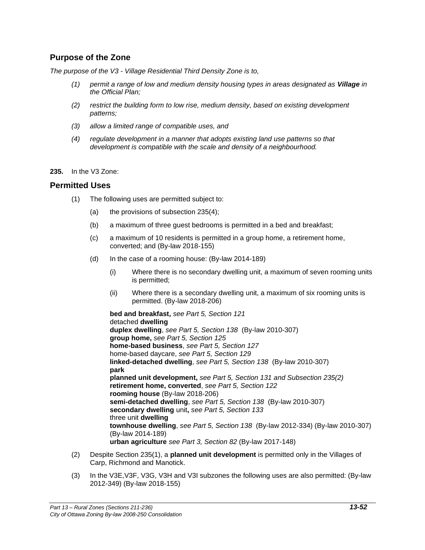## **Purpose of the Zone**

*The purpose of the V3 - Village Residential Third Density Zone is to,*

- *(1) permit a range of low and medium density housing types in areas designated as Village in the Official Plan;*
- *(2) restrict the building form to low rise, medium density, based on existing development patterns;*
- *(3) allow a limited range of compatible uses, and*
- *(4) regulate development in a manner that adopts existing land use patterns so that development is compatible with the scale and density of a neighbourhood.*
- **235.** In the V3 Zone:

#### **Permitted Uses**

- (1) The following uses are permitted subject to:
	- (a) the provisions of subsection 235(4);
	- (b) a maximum of three guest bedrooms is permitted in a bed and breakfast;
	- (c) a maximum of 10 residents is permitted in a group home, a retirement home, converted; and (By-law 2018-155)
	- (d) In the case of a rooming house: (By-law 2014-189)
		- (i) Where there is no secondary dwelling unit, a maximum of seven rooming units is permitted;
		- (ii) Where there is a secondary dwelling unit, a maximum of six rooming units is permitted. (By-law 2018-206)

**bed and breakfast,** *see Part 5, Section 121* detached **dwelling duplex dwelling**, *see Part 5, Section 138* (By-law 2010-307) **group home,** *see Part 5, Section 125* **home-based business**, *see Part 5, Section 127* home-based daycare, *see Part 5, Section 129* **linked-detached dwelling**, *see Part 5, Section 138* (By-law 2010-307) **park planned unit development,** *see Part 5, Section 131 and Subsection 235(2)* **retirement home, converted**, *see Part 5, Section 122* **rooming house** (By-law 2018-206) **semi-detached dwelling**, *see Part 5, Section 138* (By-law 2010-307) **secondary dwelling** unit**,** *see Part 5, Section 133*  three unit **dwelling townhouse dwelling**, *see Part 5, Section 138* (By-law 2012-334) (By-law 2010-307) (By-law 2014-189) **urban agriculture** *see Part 3, Section 82* (By-law 2017-148)

- (2) Despite Section 235(1), a **planned unit development** is permitted only in the Villages of Carp, Richmond and Manotick.
- (3) In the V3E,V3F, V3G, V3H and V3I subzones the following uses are also permitted: (By-law 2012-349) (By-law 2018-155)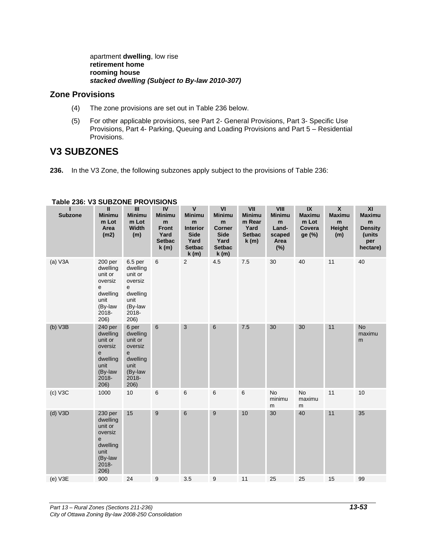apartment **dwelling**, low rise **retirement home rooming house** *stacked dwelling (Subject to By-law 2010-307)*

## **Zone Provisions**

- (4) The zone provisions are set out in Table 236 below.
- (5) For other applicable provisions, see Part 2- General Provisions, Part 3- Specific Use Provisions, Part 4- Parking, Queuing and Loading Provisions and Part 5 – Residential Provisions.

# **V3 SUBZONES**

**236.** In the V3 Zone, the following subzones apply subject to the provisions of Table 236:

| п<br><b>Subzone</b> | $\mathbf{I}$<br><b>Minimu</b><br>m Lot<br>Area<br>(m2)                                                    | $\mathbf{III}$<br><b>Minimu</b><br>m Lot<br>Width<br>(m)                                                               | IV<br><b>Minimu</b><br>m<br><b>Front</b><br>Yard<br><b>Setbac</b><br>k(m) | $\mathsf{V}$<br><b>Minimu</b><br>${\bf m}$<br><b>Interior</b><br><b>Side</b><br>Yard<br><b>Setbac</b><br>k(m) | VI<br><b>Minimu</b><br>m<br><b>Corner</b><br><b>Side</b><br>Yard<br><b>Setbac</b><br>k(m) | VII<br><b>Minimu</b><br>m Rear<br>Yard<br><b>Setbac</b><br>k(m) | VIII<br><b>Minimu</b><br>${\bf m}$<br>Land-<br>scaped<br>Area<br>(%) | IX<br><b>Maximu</b><br>m Lot<br>Covera<br>ge (%) | $\pmb{\mathsf{X}}$<br><b>Maximu</b><br>m<br>Height<br>(m) | XI<br><b>Maximu</b><br>${\bf m}$<br><b>Density</b><br>(units<br>per<br>hectare) |
|---------------------|-----------------------------------------------------------------------------------------------------------|------------------------------------------------------------------------------------------------------------------------|---------------------------------------------------------------------------|---------------------------------------------------------------------------------------------------------------|-------------------------------------------------------------------------------------------|-----------------------------------------------------------------|----------------------------------------------------------------------|--------------------------------------------------|-----------------------------------------------------------|---------------------------------------------------------------------------------|
| (a) V3A             | 200 <sub>per</sub><br>dwelling<br>unit or<br>oversiz<br>e<br>dwelling<br>unit<br>(By-law<br>2018-<br>206) | 6.5 <sub>per</sub><br>dwelling<br>unit or<br>oversiz<br>$\mathsf{e}\,$<br>dwelling<br>unit<br>(By-law<br>2018-<br>206) | 6                                                                         | 2                                                                                                             | 4.5                                                                                       | 7.5                                                             | 30                                                                   | 40                                               | 11                                                        | 40                                                                              |
| (b) V3B             | 240 per<br>dwelling<br>unit or<br>oversiz<br>${\bf e}$<br>dwelling<br>unit<br>(By-law<br>2018-<br>206)    | 6 per<br>dwelling<br>unit or<br>oversiz<br>e<br>dwelling<br>unit<br>(By-law<br>2018-<br>206)                           | $\,6\,$                                                                   | $\mathbf{3}$                                                                                                  | $\,6\,$                                                                                   | 7.5                                                             | 30                                                                   | 30                                               | 11                                                        | <b>No</b><br>maximu<br>m                                                        |
| $(c)$ V3C           | 1000                                                                                                      | 10                                                                                                                     | 6                                                                         | 6                                                                                                             | $\,6$                                                                                     | 6                                                               | <b>No</b><br>minimu<br>${\sf m}$                                     | <b>No</b><br>maximu<br>m                         | 11                                                        | 10                                                                              |
| $(d)$ V3D           | 230 per<br>dwelling<br>unit or<br>oversiz<br>$\mathbf e$<br>dwelling<br>unit<br>(By-law<br>2018-<br>206)  | 15                                                                                                                     | $\boldsymbol{9}$                                                          | $\,6$                                                                                                         | 9                                                                                         | $10$                                                            | 30                                                                   | 40                                               | 11                                                        | 35                                                                              |
| $(e)$ V3E           | 900                                                                                                       | 24                                                                                                                     | $\boldsymbol{9}$                                                          | 3.5                                                                                                           | $\boldsymbol{9}$                                                                          | 11                                                              | 25                                                                   | 25                                               | 15                                                        | 99                                                                              |

#### **Table 236: V3 SUBZONE PROVISIONS**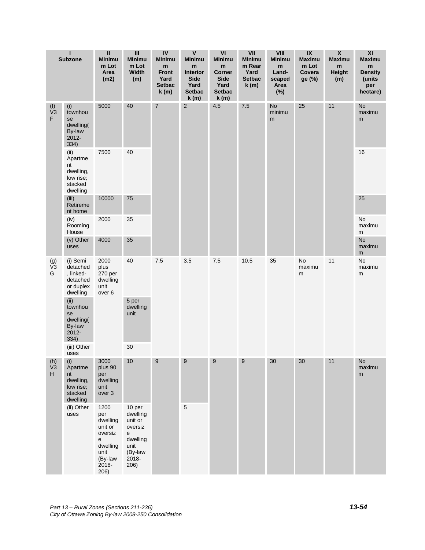|                                               | п<br><b>Subzone</b>                                                    | Ш<br><b>Minimu</b><br>m Lot<br>Area<br>(m2)                                                        | $\ensuremath{\mathsf{III}}\xspace$<br><b>Minimu</b><br>m Lot<br>Width<br>(m)                          | IV<br><b>Minimu</b><br>m<br><b>Front</b><br>Yard<br><b>Setbac</b><br>k(m) | $\pmb{\mathsf{V}}$<br><b>Minimu</b><br>m<br><b>Interior</b><br><b>Side</b><br>Yard<br><b>Setbac</b><br>k(m) | VI<br><b>Minimu</b><br>${\bf m}$<br><b>Corner</b><br><b>Side</b><br>Yard<br><b>Setbac</b><br>k(m) | VII<br><b>Minimu</b><br>m Rear<br>Yard<br><b>Setbac</b><br>k(m) | VIII<br><b>Minimu</b><br>m<br>Land-<br>scaped<br>Area<br>$(\%)$ | $\overline{\mathbf{X}}$<br><b>Maximu</b><br>m Lot<br>Covera<br>ge (%) | $\pmb{\mathsf{X}}$<br><b>Maximu</b><br>m<br><b>Height</b><br>(m) | $\pmb{\mathsf{XI}}$<br><b>Maximu</b><br>m<br><b>Density</b><br>(units<br>per<br>hectare) |
|-----------------------------------------------|------------------------------------------------------------------------|----------------------------------------------------------------------------------------------------|-------------------------------------------------------------------------------------------------------|---------------------------------------------------------------------------|-------------------------------------------------------------------------------------------------------------|---------------------------------------------------------------------------------------------------|-----------------------------------------------------------------|-----------------------------------------------------------------|-----------------------------------------------------------------------|------------------------------------------------------------------|------------------------------------------------------------------------------------------|
| $(1)$<br>$V3$<br>F.                           | (i)<br>townhou<br>se<br>dwelling(<br>By-law<br>2012-<br>334)           | 5000                                                                                               | 40                                                                                                    | $\sqrt{7}$                                                                | $\sqrt{2}$                                                                                                  | 4.5                                                                                               | 7.5                                                             | <b>No</b><br>minimu<br>m                                        | 25                                                                    | 11                                                               | <b>No</b><br>maximu<br>m                                                                 |
|                                               | (ii)<br>Apartme<br>nt<br>dwelling,<br>low rise;<br>stacked<br>dwelling | 7500                                                                                               | 40                                                                                                    |                                                                           |                                                                                                             |                                                                                                   |                                                                 |                                                                 |                                                                       |                                                                  | 16                                                                                       |
|                                               | (iii)<br>Retireme<br>nt home                                           | 10000                                                                                              | $75\,$                                                                                                |                                                                           |                                                                                                             |                                                                                                   |                                                                 |                                                                 |                                                                       |                                                                  | 25                                                                                       |
|                                               | (iv)<br>Rooming<br>House                                               | 2000                                                                                               | 35                                                                                                    |                                                                           |                                                                                                             |                                                                                                   |                                                                 |                                                                 |                                                                       |                                                                  | <b>No</b><br>maximu<br>m                                                                 |
|                                               | (v) Other<br>uses                                                      | 4000                                                                                               | 35                                                                                                    |                                                                           |                                                                                                             |                                                                                                   |                                                                 |                                                                 |                                                                       |                                                                  | <b>No</b><br>maximu<br>m                                                                 |
| $\begin{array}{c} (g) \\ V3 \end{array}$<br>G | (i) Semi<br>detached<br>, linked-<br>detached<br>or duplex<br>dwelling | 2000<br>plus<br>270 per<br>dwelling<br>unit<br>over <sub>6</sub>                                   | 40                                                                                                    | 7.5                                                                       | 3.5                                                                                                         | 7.5                                                                                               | 10.5                                                            | 35                                                              | No<br>maximu<br>m                                                     | 11                                                               | No<br>maximu<br>m                                                                        |
|                                               | (ii)<br>townhou<br>se<br>dwelling(<br>By-law<br>2012-<br>334)          |                                                                                                    | 5 per<br>dwelling<br>unit                                                                             |                                                                           |                                                                                                             |                                                                                                   |                                                                 |                                                                 |                                                                       |                                                                  |                                                                                          |
|                                               | (iii) Other<br>uses                                                    |                                                                                                    | 30                                                                                                    |                                                                           |                                                                                                             |                                                                                                   |                                                                 |                                                                 |                                                                       |                                                                  |                                                                                          |
| $(h)$ (i)<br>V <sub>3</sub><br>H              | Apartme<br>nt<br>dwelling,<br>low rise;<br>stacked<br>dwelling         | 3000<br>plus 90<br>per<br>dwelling<br>unit<br>over 3                                               | 10                                                                                                    | $\overline{9}$                                                            | 9                                                                                                           | $\overline{9}$                                                                                    | 9                                                               | 30                                                              | 30                                                                    | 11                                                               | No<br>maximu<br>m                                                                        |
|                                               | (ii) Other<br>uses                                                     | 1200<br>per<br>dwelling<br>unit or<br>oversiz<br>e<br>dwelling<br>unit<br>(By-law<br>2018-<br>206) | 10 per<br>dwelling<br>unit or<br>oversiz<br>${\bf e}$<br>dwelling<br>unit<br>(By-law<br>2018-<br>206) |                                                                           | $\sqrt{5}$                                                                                                  |                                                                                                   |                                                                 |                                                                 |                                                                       |                                                                  |                                                                                          |